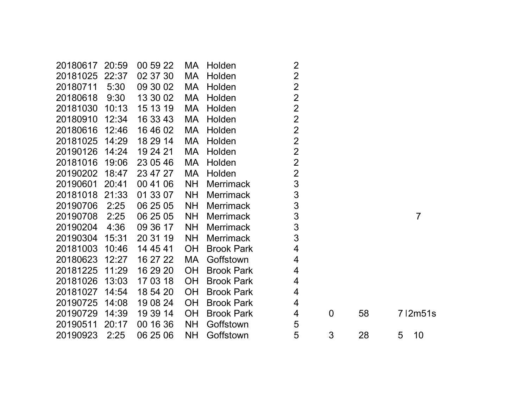| 5:30              | 09 30 02       | МA                   | Holden            |                  |                                                    |    |   |                 |
|-------------------|----------------|----------------------|-------------------|------------------|----------------------------------------------------|----|---|-----------------|
| 9:30              | 13 30 02       | MA                   | Holden            | $\overline{2}$   |                                                    |    |   |                 |
| 10:13             | 15 13 19       | МA                   | Holden            | $\overline{2}$   |                                                    |    |   |                 |
| 12:34             | 16 33 43       | MA                   | Holden            | $\overline{2}$   |                                                    |    |   |                 |
| 20180616<br>12:46 | 16 46 02       | МA                   | Holden            | $\overline{2}$   |                                                    |    |   |                 |
| 20181025<br>14:29 | 18 29 14       | МA                   | Holden            | $\overline{2}$   |                                                    |    |   |                 |
| 14:24             | 19 24 21       | MA                   | Holden            | $\overline{2}$   |                                                    |    |   |                 |
| 19:06             | 23 05 46       | МA                   | Holden            | $\overline{2}$   |                                                    |    |   |                 |
| 18:47             | 23 47 27       | MA                   | Holden            | $\overline{2}$   |                                                    |    |   |                 |
| 20190601<br>20:41 | 00 41 06       | <b>NH</b>            | <b>Merrimack</b>  | 3                |                                                    |    |   |                 |
| 20181018 21:33    | 01 33 07       | <b>NH</b>            | <b>Merrimack</b>  | 3                |                                                    |    |   |                 |
| 2:25              | 06 25 05       | <b>NH</b>            | <b>Merrimack</b>  | 3                |                                                    |    |   |                 |
| 2:25              | 06 25 05       | <b>NH</b>            | <b>Merrimack</b>  | 3                |                                                    |    |   | 7               |
| 4:36              | 09 36 17       | <b>NH</b>            | <b>Merrimack</b>  | $\mathsf 3$      |                                                    |    |   |                 |
| 20190304<br>15:31 | 20 31 19       | <b>NH</b>            | <b>Merrimack</b>  | 3                |                                                    |    |   |                 |
| 10:46             | 14 45 41       | <b>OH</b>            | <b>Brook Park</b> | 4                |                                                    |    |   |                 |
| 12:27             | 16 27 22       | МA                   | Goffstown         | 4                |                                                    |    |   |                 |
| 11:29             | 16 29 20       | <b>OH</b>            | <b>Brook Park</b> | 4                |                                                    |    |   |                 |
| 20181026<br>13:03 | 17 03 18       | <b>OH</b>            | <b>Brook Park</b> | 4                |                                                    |    |   |                 |
| 20181027<br>14:54 | 18 54 20       | OH                   | <b>Brook Park</b> | 4                |                                                    |    |   |                 |
| 20190725<br>14:08 | 19 08 24       | <b>OH</b>            | <b>Brook Park</b> | 4                |                                                    |    |   |                 |
| 14:39             | 19 39 14       | <b>OH</b>            | <b>Brook Park</b> | 4                | $\boldsymbol{0}$                                   | 58 |   | $7$   2m $51$ s |
| 20:17             | 00 16 36       | <b>NH</b>            | Goffstown         | 5                |                                                    |    |   |                 |
| 2:25              | 06 25 06       | NH                   | Goffstown         | 5                | 3                                                  | 28 | 5 | 10              |
|                   | 20:59<br>22:37 | 00 59 22<br>02 37 30 | MA.<br>МA         | Holden<br>Holden | $\overline{2}$<br>$\overline{2}$<br>$\overline{2}$ |    |   |                 |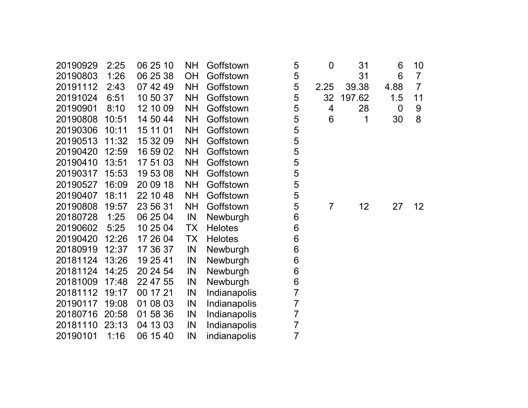| 20190929 | 2:25  | 06 25 10 | <b>NH</b> | Goffstown      | 5              | $\overline{0}$ | 31     | 6              | 10              |
|----------|-------|----------|-----------|----------------|----------------|----------------|--------|----------------|-----------------|
| 20190803 | 1:26  | 06 25 38 | <b>OH</b> | Goffstown      | 5              |                | 31     | 6              | $\overline{7}$  |
| 20191112 | 2:43  | 07 42 49 | <b>NH</b> | Goffstown      | 5              | 2.25           | 39.38  | 4.88           | $\overline{7}$  |
| 20191024 | 6:51  | 10 50 37 | <b>NH</b> | Goffstown      | 5              | 32             | 197.62 | 1.5            | 11              |
| 20190901 | 8:10  | 12 10 09 | <b>NH</b> | Goffstown      | 5              | 4              | 28     | $\overline{0}$ | 9               |
| 20190808 | 10:51 | 14 50 44 | <b>NH</b> | Goffstown      | 5              | 6              | 1      | 30             | 8               |
| 20190306 | 10:11 | 15 11 01 | <b>NH</b> | Goffstown      | 5              |                |        |                |                 |
| 20190513 | 11:32 | 15 32 09 | <b>NH</b> | Goffstown      | 5              |                |        |                |                 |
| 20190420 | 12:59 | 16 59 02 | <b>NH</b> | Goffstown      | 5              |                |        |                |                 |
| 20190410 | 13:51 | 17 51 03 | <b>NH</b> | Goffstown      | 5              |                |        |                |                 |
| 20190317 | 15:53 | 19 53 08 | <b>NH</b> | Goffstown      | 5              |                |        |                |                 |
| 20190527 | 16:09 | 20 09 18 | <b>NH</b> | Goffstown      | 5              |                |        |                |                 |
| 20190407 | 18:11 | 22 10 48 | <b>NH</b> | Goffstown      | 5              |                |        |                |                 |
| 20190808 | 19:57 | 23 56 31 | <b>NH</b> | Goffstown      | 5              | $\overline{7}$ | 12     | 27             | 12 <sub>2</sub> |
| 20180728 | 1:25  | 06 25 04 | IN        | Newburgh       | 6              |                |        |                |                 |
| 20190602 | 5:25  | 10 25 04 | <b>TX</b> | <b>Helotes</b> | 6              |                |        |                |                 |
| 20190420 | 12:26 | 17 26 04 | <b>TX</b> | <b>Helotes</b> | 6              |                |        |                |                 |
| 20180919 | 12:37 | 17 36 37 | IN        | Newburgh       | 6              |                |        |                |                 |
| 20181124 | 13:26 | 19 25 41 | IN        | Newburgh       | 6              |                |        |                |                 |
| 20181124 | 14:25 | 20 24 54 | IN        | Newburgh       | 6              |                |        |                |                 |
| 20181009 | 17:48 | 22 47 55 | IN        | Newburgh       | 6              |                |        |                |                 |
| 20181112 | 19:17 | 00 17 21 | IN        | Indianapolis   | $\overline{7}$ |                |        |                |                 |
| 20190117 | 19:08 | 01 08 03 | IN        | Indianapolis   | $\overline{7}$ |                |        |                |                 |
| 20180716 | 20:58 | 01 58 36 | IN        | Indianapolis   | $\overline{7}$ |                |        |                |                 |
| 20181110 | 23:13 | 04 13 03 | IN        | Indianapolis   | $\overline{7}$ |                |        |                |                 |
| 20190101 | 1:16  | 06 15 40 | IN        | indianapolis   | $\overline{7}$ |                |        |                |                 |
|          |       |          |           |                |                |                |        |                |                 |

| 0<br>2.25<br>32<br>4<br>6 | 31<br>31<br>39.38<br>197.62<br>28<br>1 | 6<br>6<br>4.88<br>1.5<br>0<br>30 | 10<br>$\overline{7}$<br>$\overline{7}$<br>11<br>9<br>8 |
|---------------------------|----------------------------------------|----------------------------------|--------------------------------------------------------|
| 7                         | 12                                     | 27                               | 12                                                     |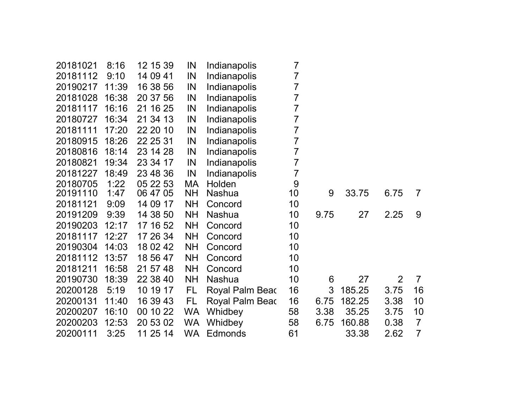| 20181021 | 8:16  | 12 15 39    | IN        | Indianapolis    | $\overline{7}$ |      |        |      |                |
|----------|-------|-------------|-----------|-----------------|----------------|------|--------|------|----------------|
| 20181112 | 9:10  | 14 09 41    | IN        | Indianapolis    | 7              |      |        |      |                |
| 20190217 | 11:39 | 16 38 56    | IN        | Indianapolis    | 7              |      |        |      |                |
| 20181028 | 16:38 | 20 37 56    | IN        | Indianapolis    | 7              |      |        |      |                |
| 20181117 | 16:16 | 21 16 25    | IN        | Indianapolis    | 7              |      |        |      |                |
| 20180727 | 16:34 | 21 34 13    | IN        | Indianapolis    | 7              |      |        |      |                |
| 20181111 | 17:20 | 22 20 10    | IN        | Indianapolis    | $\overline{7}$ |      |        |      |                |
| 20180915 | 18:26 | 22 25 31    | IN        | Indianapolis    | 7              |      |        |      |                |
| 20180816 | 18:14 | 23 14 28    | IN        | Indianapolis    | 7              |      |        |      |                |
| 20180821 | 19:34 | 23 34 17    | IN        | Indianapolis    | 7              |      |        |      |                |
| 20181227 | 18:49 | 23 48 36    | IN        | Indianapolis    | $\overline{7}$ |      |        |      |                |
| 20180705 | 1:22  | 05 22 53    | MA        | Holden          | 9              |      |        |      |                |
| 20191110 | 1:47  | 06 47 05    | <b>NH</b> | <b>Nashua</b>   | 10             | 9    | 33.75  | 6.75 | $\overline{7}$ |
| 20181121 | 9:09  | 14 09<br>17 | <b>NH</b> | Concord         | 10             |      |        |      |                |
| 20191209 | 9:39  | 14 38 50    | <b>NH</b> | Nashua          | 10             | 9.75 | 27     | 2.25 | 9              |
| 20190203 | 12:17 | 17 16 52    | <b>NH</b> | Concord         | 10             |      |        |      |                |
| 20181117 | 12:27 | 17 26 34    | <b>NH</b> | Concord         | 10             |      |        |      |                |
| 20190304 | 14:03 | 18 02 42    | <b>NH</b> | Concord         | 10             |      |        |      |                |
| 20181112 | 13:57 | 18 56 47    | <b>NH</b> | Concord         | 10             |      |        |      |                |
| 20181211 | 16:58 | 21 57 48    | <b>NH</b> | Concord         | 10             |      |        |      |                |
| 20190730 | 18:39 | 22 38 40    | <b>NH</b> | Nashua          | 10             | 6    | 27     | 2    | $\overline{7}$ |
| 20200128 | 5:19  | 10 19 17    | FL        | Royal Palm Beac | 16             | 3    | 185.25 | 3.75 | 16             |
| 20200131 | 11:40 | 16 39 43    | FL        | Royal Palm Beac | 16             | 6.75 | 182.25 | 3.38 | 10             |
| 20200207 | 16:10 | 00 10 22    | WA.       | Whidbey         | 58             | 3.38 | 35.25  | 3.75 | 10             |
| 20200203 | 12:53 | 20 53 02    | <b>WA</b> | Whidbey         | 58             | 6.75 | 160.88 | 0.38 | $\overline{7}$ |
| 20200111 | 3:25  | 11 25 14    | WA.       | <b>Edmonds</b>  | 61             |      | 33.38  | 2.62 | $\overline{7}$ |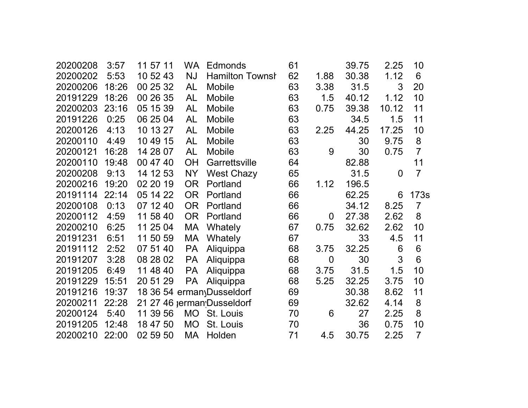| 20200208 | 3:57  | 11 57 11 | WA.       | Edmonds                    | 61 |                | 39.75 | 2.25           | 10             |
|----------|-------|----------|-----------|----------------------------|----|----------------|-------|----------------|----------------|
| 20200202 | 5:53  | 10 52 43 | <b>NJ</b> | <b>Hamilton Townsh</b>     | 62 | 1.88           | 30.38 | 1.12           | 6              |
| 20200206 | 18:26 | 00 25 32 | AL        | <b>Mobile</b>              | 63 | 3.38           | 31.5  | 3              | 20             |
| 20191229 | 18:26 | 00 26 35 | AL        | Mobile                     | 63 | 1.5            | 40.12 | 1.12           | 10             |
| 20200203 | 23:16 | 05 15 39 | <b>AL</b> | Mobile                     | 63 | 0.75           | 39.38 | 10.12          | 11             |
| 20191226 | 0:25  | 06 25 04 | <b>AL</b> | <b>Mobile</b>              | 63 |                | 34.5  | 1.5            | 11             |
| 20200126 | 4:13  | 10 13 27 | AL        | <b>Mobile</b>              | 63 | 2.25           | 44.25 | 17.25          | 10             |
| 20200110 | 4:49  | 10 49 15 | <b>AL</b> | Mobile                     | 63 |                | 30    | 9.75           | 8              |
| 20200121 | 16:28 | 14 28 07 | <b>AL</b> | <b>Mobile</b>              | 63 | 9              | 30    | 0.75           | $\overline{7}$ |
| 20200110 | 19:48 | 00 47 40 | <b>OH</b> | Garrettsville              | 64 |                | 82.88 |                | 11             |
| 20200208 | 9:13  | 14 12 53 | <b>NY</b> | <b>West Chazy</b>          | 65 |                | 31.5  | $\overline{0}$ | $\overline{7}$ |
| 20200216 | 19:20 | 02 20 19 | <b>OR</b> | Portland                   | 66 | 1.12           | 196.5 |                |                |
| 20191114 | 22:14 | 05 14 22 | <b>OR</b> | Portland                   | 66 |                | 62.25 | 6              | 173s           |
| 20200108 | 0:13  | 07 12 40 | <b>OR</b> | Portland                   | 66 |                | 34.12 | 8.25           | $\overline{7}$ |
| 20200112 | 4:59  | 11 58 40 | <b>OR</b> | Portland                   | 66 | $\overline{0}$ | 27.38 | 2.62           | 8              |
| 20200210 | 6:25  | 11 25 04 | MA        | Whately                    | 67 | 0.75           | 32.62 | 2.62           | 10             |
| 20191231 | 6:51  | 11 50 59 | MA        | Whately                    | 67 |                | 33    | 4.5            | 11             |
| 20191112 | 2:52  | 07 51 40 | <b>PA</b> | Aliquippa                  | 68 | 3.75           | 32.25 | 6              | 6              |
| 20191207 | 3:28  | 08 28 02 | <b>PA</b> | Aliquippa                  | 68 | $\overline{0}$ | 30    | 3              | 6              |
| 20191205 | 6:49  | 11 48 40 | <b>PA</b> | Aliquippa                  | 68 | 3.75           | 31.5  | 1.5            | 10             |
| 20191229 | 15:51 | 20 51 29 | <b>PA</b> | Aliquippa                  | 68 | 5.25           | 32.25 | 3.75           | 10             |
| 20191216 | 19:37 |          |           | 18 36 54 erman Dusseldorf  | 69 |                | 30.38 | 8.62           | 11             |
| 20200211 | 22:28 |          |           | 21 27 46 jerman Dusseldorf | 69 |                | 32.62 | 4.14           | 8              |
| 20200124 | 5:40  | 11 39 56 | <b>MO</b> | St. Louis                  | 70 | 6              | 27    | 2.25           | 8              |
| 20191205 | 12:48 | 18 47 50 | <b>MO</b> | St. Louis                  | 70 |                | 36    | 0.75           | 10             |
| 20200210 | 22:00 | 02 59 50 | МA        | Holden                     | 71 | 4.5            | 30.75 | 2.25           | $\overline{7}$ |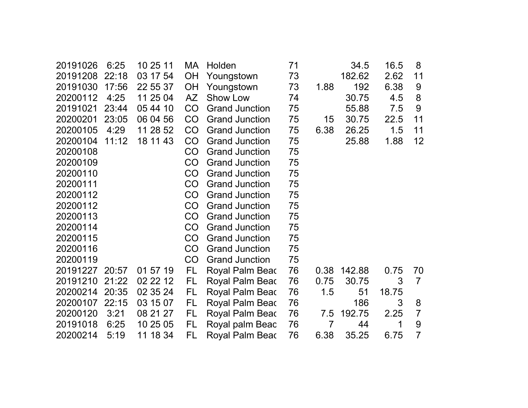| 20191208<br>22:18<br>03 17 54<br>73<br>182.62<br>2.62<br><b>OH</b><br>11<br>Youngstown<br>20191030<br>192<br>6.38<br>17:56<br>22 55 37<br><b>OH</b><br>Youngstown<br>73<br>1.88<br>9<br>4:25<br>11 25 04<br>30.75<br>20200112<br><b>AZ</b><br>Show Low<br>4.5<br>8<br>74<br>CO<br>20191021<br>23:44<br>05 44 10<br>75<br>55.88<br>7.5<br>9<br><b>Grand Junction</b><br>20200201<br>23:05<br>CO<br>75<br>22.5<br>06 04 56<br><b>Grand Junction</b><br>15<br>30.75<br>11<br>20200105<br>4:29<br>11 28 52<br>CO<br>75<br>6.38<br><b>Grand Junction</b><br>26.25<br>1.5<br>11<br>20200104<br>18 11 43<br>CO<br>1.88<br>11:12<br><b>Grand Junction</b><br>75<br>25.88<br>12<br>20200108<br>CO<br><b>Grand Junction</b><br>75<br>20200109<br>CO<br><b>Grand Junction</b><br>75<br>20200110<br><b>Grand Junction</b><br>75<br>CO<br>75<br>20200111<br>CO<br><b>Grand Junction</b><br>20200112<br>75<br>CO<br><b>Grand Junction</b><br>20200112<br><b>Grand Junction</b><br>75<br>CO<br>20200113<br>CO<br><b>Grand Junction</b><br>75<br>20200114<br>CO<br><b>Grand Junction</b><br>75<br>20200115<br>CO<br><b>Grand Junction</b><br>75<br>CO<br>20200116<br><b>Grand Junction</b><br>75<br>20200119<br>CO<br>75<br><b>Grand Junction</b><br>FL<br>76<br>142.88<br>20191227<br>20:57<br>01 57 19<br>Royal Palm Beac<br>0.38<br>0.75<br>70<br>20191210<br>21:22<br>02 22 12<br>FL.<br>$\overline{7}$<br>Royal Palm Beac<br>76<br>0.75<br>30.75<br>3<br>76<br>20200214<br>20:35<br>02 35 24<br>Royal Palm Beac<br>1.5<br>51<br>18.75<br>FL.<br>3<br>20200107<br>22:15<br>03 15 07<br>Royal Palm Beac<br>76<br>186<br>8<br>FL<br>20200120<br>3:21<br>76<br>$\overline{7}$<br>08 21 27<br>FL.<br>Royal Palm Beac<br>192.75<br>2.25<br>7.5<br>20191018<br>76<br>$\overline{7}$<br>9<br>6:25<br>10 25 05<br>FL<br>Royal palm Beac<br>44<br>1<br>$\overline{7}$<br>FL<br>6.75<br>20200214<br>5:19<br>11 18 34<br>76<br>6.38<br>35.25<br>Royal Palm Beac | 20191026 | 6:25 | 10 25 11 | МA | Holden | 71 | 34.5 | 16.5 | 8 |
|------------------------------------------------------------------------------------------------------------------------------------------------------------------------------------------------------------------------------------------------------------------------------------------------------------------------------------------------------------------------------------------------------------------------------------------------------------------------------------------------------------------------------------------------------------------------------------------------------------------------------------------------------------------------------------------------------------------------------------------------------------------------------------------------------------------------------------------------------------------------------------------------------------------------------------------------------------------------------------------------------------------------------------------------------------------------------------------------------------------------------------------------------------------------------------------------------------------------------------------------------------------------------------------------------------------------------------------------------------------------------------------------------------------------------------------------------------------------------------------------------------------------------------------------------------------------------------------------------------------------------------------------------------------------------------------------------------------------------------------------------------------------------------------------------------------------------------------------------------------------------------------------------------------------------------------|----------|------|----------|----|--------|----|------|------|---|
|                                                                                                                                                                                                                                                                                                                                                                                                                                                                                                                                                                                                                                                                                                                                                                                                                                                                                                                                                                                                                                                                                                                                                                                                                                                                                                                                                                                                                                                                                                                                                                                                                                                                                                                                                                                                                                                                                                                                          |          |      |          |    |        |    |      |      |   |
|                                                                                                                                                                                                                                                                                                                                                                                                                                                                                                                                                                                                                                                                                                                                                                                                                                                                                                                                                                                                                                                                                                                                                                                                                                                                                                                                                                                                                                                                                                                                                                                                                                                                                                                                                                                                                                                                                                                                          |          |      |          |    |        |    |      |      |   |
|                                                                                                                                                                                                                                                                                                                                                                                                                                                                                                                                                                                                                                                                                                                                                                                                                                                                                                                                                                                                                                                                                                                                                                                                                                                                                                                                                                                                                                                                                                                                                                                                                                                                                                                                                                                                                                                                                                                                          |          |      |          |    |        |    |      |      |   |
|                                                                                                                                                                                                                                                                                                                                                                                                                                                                                                                                                                                                                                                                                                                                                                                                                                                                                                                                                                                                                                                                                                                                                                                                                                                                                                                                                                                                                                                                                                                                                                                                                                                                                                                                                                                                                                                                                                                                          |          |      |          |    |        |    |      |      |   |
|                                                                                                                                                                                                                                                                                                                                                                                                                                                                                                                                                                                                                                                                                                                                                                                                                                                                                                                                                                                                                                                                                                                                                                                                                                                                                                                                                                                                                                                                                                                                                                                                                                                                                                                                                                                                                                                                                                                                          |          |      |          |    |        |    |      |      |   |
|                                                                                                                                                                                                                                                                                                                                                                                                                                                                                                                                                                                                                                                                                                                                                                                                                                                                                                                                                                                                                                                                                                                                                                                                                                                                                                                                                                                                                                                                                                                                                                                                                                                                                                                                                                                                                                                                                                                                          |          |      |          |    |        |    |      |      |   |
|                                                                                                                                                                                                                                                                                                                                                                                                                                                                                                                                                                                                                                                                                                                                                                                                                                                                                                                                                                                                                                                                                                                                                                                                                                                                                                                                                                                                                                                                                                                                                                                                                                                                                                                                                                                                                                                                                                                                          |          |      |          |    |        |    |      |      |   |
|                                                                                                                                                                                                                                                                                                                                                                                                                                                                                                                                                                                                                                                                                                                                                                                                                                                                                                                                                                                                                                                                                                                                                                                                                                                                                                                                                                                                                                                                                                                                                                                                                                                                                                                                                                                                                                                                                                                                          |          |      |          |    |        |    |      |      |   |
|                                                                                                                                                                                                                                                                                                                                                                                                                                                                                                                                                                                                                                                                                                                                                                                                                                                                                                                                                                                                                                                                                                                                                                                                                                                                                                                                                                                                                                                                                                                                                                                                                                                                                                                                                                                                                                                                                                                                          |          |      |          |    |        |    |      |      |   |
|                                                                                                                                                                                                                                                                                                                                                                                                                                                                                                                                                                                                                                                                                                                                                                                                                                                                                                                                                                                                                                                                                                                                                                                                                                                                                                                                                                                                                                                                                                                                                                                                                                                                                                                                                                                                                                                                                                                                          |          |      |          |    |        |    |      |      |   |
|                                                                                                                                                                                                                                                                                                                                                                                                                                                                                                                                                                                                                                                                                                                                                                                                                                                                                                                                                                                                                                                                                                                                                                                                                                                                                                                                                                                                                                                                                                                                                                                                                                                                                                                                                                                                                                                                                                                                          |          |      |          |    |        |    |      |      |   |
|                                                                                                                                                                                                                                                                                                                                                                                                                                                                                                                                                                                                                                                                                                                                                                                                                                                                                                                                                                                                                                                                                                                                                                                                                                                                                                                                                                                                                                                                                                                                                                                                                                                                                                                                                                                                                                                                                                                                          |          |      |          |    |        |    |      |      |   |
|                                                                                                                                                                                                                                                                                                                                                                                                                                                                                                                                                                                                                                                                                                                                                                                                                                                                                                                                                                                                                                                                                                                                                                                                                                                                                                                                                                                                                                                                                                                                                                                                                                                                                                                                                                                                                                                                                                                                          |          |      |          |    |        |    |      |      |   |
|                                                                                                                                                                                                                                                                                                                                                                                                                                                                                                                                                                                                                                                                                                                                                                                                                                                                                                                                                                                                                                                                                                                                                                                                                                                                                                                                                                                                                                                                                                                                                                                                                                                                                                                                                                                                                                                                                                                                          |          |      |          |    |        |    |      |      |   |
|                                                                                                                                                                                                                                                                                                                                                                                                                                                                                                                                                                                                                                                                                                                                                                                                                                                                                                                                                                                                                                                                                                                                                                                                                                                                                                                                                                                                                                                                                                                                                                                                                                                                                                                                                                                                                                                                                                                                          |          |      |          |    |        |    |      |      |   |
|                                                                                                                                                                                                                                                                                                                                                                                                                                                                                                                                                                                                                                                                                                                                                                                                                                                                                                                                                                                                                                                                                                                                                                                                                                                                                                                                                                                                                                                                                                                                                                                                                                                                                                                                                                                                                                                                                                                                          |          |      |          |    |        |    |      |      |   |
|                                                                                                                                                                                                                                                                                                                                                                                                                                                                                                                                                                                                                                                                                                                                                                                                                                                                                                                                                                                                                                                                                                                                                                                                                                                                                                                                                                                                                                                                                                                                                                                                                                                                                                                                                                                                                                                                                                                                          |          |      |          |    |        |    |      |      |   |
|                                                                                                                                                                                                                                                                                                                                                                                                                                                                                                                                                                                                                                                                                                                                                                                                                                                                                                                                                                                                                                                                                                                                                                                                                                                                                                                                                                                                                                                                                                                                                                                                                                                                                                                                                                                                                                                                                                                                          |          |      |          |    |        |    |      |      |   |
|                                                                                                                                                                                                                                                                                                                                                                                                                                                                                                                                                                                                                                                                                                                                                                                                                                                                                                                                                                                                                                                                                                                                                                                                                                                                                                                                                                                                                                                                                                                                                                                                                                                                                                                                                                                                                                                                                                                                          |          |      |          |    |        |    |      |      |   |
|                                                                                                                                                                                                                                                                                                                                                                                                                                                                                                                                                                                                                                                                                                                                                                                                                                                                                                                                                                                                                                                                                                                                                                                                                                                                                                                                                                                                                                                                                                                                                                                                                                                                                                                                                                                                                                                                                                                                          |          |      |          |    |        |    |      |      |   |
|                                                                                                                                                                                                                                                                                                                                                                                                                                                                                                                                                                                                                                                                                                                                                                                                                                                                                                                                                                                                                                                                                                                                                                                                                                                                                                                                                                                                                                                                                                                                                                                                                                                                                                                                                                                                                                                                                                                                          |          |      |          |    |        |    |      |      |   |
|                                                                                                                                                                                                                                                                                                                                                                                                                                                                                                                                                                                                                                                                                                                                                                                                                                                                                                                                                                                                                                                                                                                                                                                                                                                                                                                                                                                                                                                                                                                                                                                                                                                                                                                                                                                                                                                                                                                                          |          |      |          |    |        |    |      |      |   |
|                                                                                                                                                                                                                                                                                                                                                                                                                                                                                                                                                                                                                                                                                                                                                                                                                                                                                                                                                                                                                                                                                                                                                                                                                                                                                                                                                                                                                                                                                                                                                                                                                                                                                                                                                                                                                                                                                                                                          |          |      |          |    |        |    |      |      |   |
|                                                                                                                                                                                                                                                                                                                                                                                                                                                                                                                                                                                                                                                                                                                                                                                                                                                                                                                                                                                                                                                                                                                                                                                                                                                                                                                                                                                                                                                                                                                                                                                                                                                                                                                                                                                                                                                                                                                                          |          |      |          |    |        |    |      |      |   |
|                                                                                                                                                                                                                                                                                                                                                                                                                                                                                                                                                                                                                                                                                                                                                                                                                                                                                                                                                                                                                                                                                                                                                                                                                                                                                                                                                                                                                                                                                                                                                                                                                                                                                                                                                                                                                                                                                                                                          |          |      |          |    |        |    |      |      |   |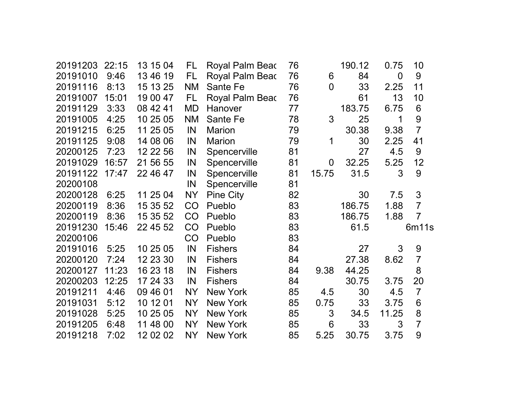| 20191203 | 22:15 | 13 15 04 | FL        | Royal Palm Beac        | 76 |                | 190.12 | 0.75           | 10             |
|----------|-------|----------|-----------|------------------------|----|----------------|--------|----------------|----------------|
| 20191010 | 9:46  | 13 46 19 | FL.       | <b>Royal Palm Bead</b> | 76 | 6              | 84     | $\overline{0}$ | 9              |
| 20191116 | 8:13  | 15 13 25 | <b>NM</b> | Sante Fe               | 76 | $\overline{0}$ | 33     | 2.25           | 11             |
| 20191007 | 15:01 | 19 00 47 | FL        | Royal Palm Beac        | 76 |                | 61     | 13             | 10             |
| 20191129 | 3:33  | 08 42 41 | <b>MD</b> | Hanover                | 77 |                | 183.75 | 6.75           | 6              |
| 20191005 | 4:25  | 10 25 05 | <b>NM</b> | Sante Fe               | 78 | 3              | 25     | 1              | 9              |
| 20191215 | 6:25  | 11 25 05 | IN        | Marion                 | 79 |                | 30.38  | 9.38           | $\overline{7}$ |
| 20191125 | 9:08  | 14 08 06 | IN        | <b>Marion</b>          | 79 | 1              | 30     | 2.25           | 41             |
| 20200125 | 7:23  | 12 22 56 | IN        | Spencerville           | 81 |                | 27     | 4.5            | 9              |
| 20191029 | 16:57 | 21 56 55 | IN        | Spencerville           | 81 | $\overline{0}$ | 32.25  | 5.25           | 12             |
| 20191122 | 17:47 | 22 46 47 | IN        | Spencerville           | 81 | 15.75          | 31.5   | 3              | 9              |
| 20200108 |       |          | IN        | Spencerville           | 81 |                |        |                |                |
| 20200128 | 6:25  | 11 25 04 | NY        | <b>Pine City</b>       | 82 |                | 30     | 7.5            | 3              |
| 20200119 | 8:36  | 15 35 52 | CO        | Pueblo                 | 83 |                | 186.75 | 1.88           | $\overline{7}$ |
| 20200119 | 8:36  | 15 35 52 | CO        | Pueblo                 | 83 |                | 186.75 | 1.88           | $\overline{7}$ |
| 20191230 | 15:46 | 22 45 52 | CO        | Pueblo                 | 83 |                | 61.5   |                | 6m11s          |
| 20200106 |       |          | CO        | Pueblo                 | 83 |                |        |                |                |
| 20191016 | 5:25  | 10 25 05 | IN        | <b>Fishers</b>         | 84 |                | 27     | 3              | 9              |
| 20200120 | 7:24  | 12 23 30 | IN        | <b>Fishers</b>         | 84 |                | 27.38  | 8.62           | $\overline{7}$ |
| 20200127 | 11:23 | 16 23 18 | IN        | <b>Fishers</b>         | 84 | 9.38           | 44.25  |                | 8              |
| 20200203 | 12:25 | 17 24 33 | IN        | <b>Fishers</b>         | 84 |                | 30.75  | 3.75           | 20             |
| 20191211 | 4:46  | 09 46 01 | <b>NY</b> | <b>New York</b>        | 85 | 4.5            | 30     | 4.5            | $\overline{7}$ |
| 20191031 | 5:12  | 10 12 01 | NY        | <b>New York</b>        | 85 | 0.75           | 33     | 3.75           | 6              |
| 20191028 | 5:25  | 10 25 05 | <b>NY</b> | <b>New York</b>        | 85 | 3              | 34.5   | 11.25          | 8              |
| 20191205 | 6:48  | 11 48 00 | <b>NY</b> | <b>New York</b>        | 85 | 6              | 33     | 3              | $\overline{7}$ |
| 20191218 | 7:02  | 12 02 02 | NY        | <b>New York</b>        | 85 | 5.25           | 30.75  | 3.75           | 9              |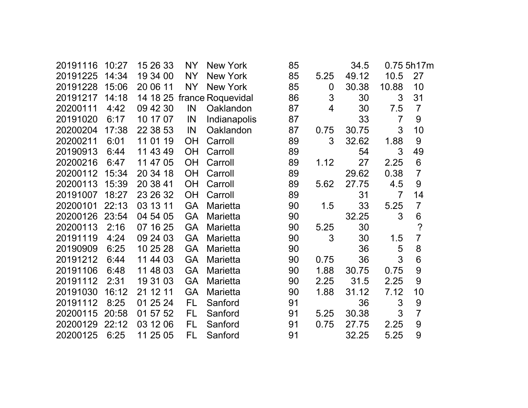| 20191116 | 10:27 | 15 26 33 | <b>NY</b> | <b>New York</b>   | 85 |      | 34.5  |                | 0.75 5h17m           |
|----------|-------|----------|-----------|-------------------|----|------|-------|----------------|----------------------|
| 20191225 | 14:34 | 19 34 00 | <b>NY</b> | New York          | 85 | 5.25 | 49.12 | 10.5           | 27                   |
| 20191228 | 15:06 | 20 06 11 | <b>NY</b> | <b>New York</b>   | 85 | 0    | 30.38 | 10.88          | 10                   |
| 20191217 | 14:18 | 14 18 25 |           | france Roquevidal | 86 | 3    | 30    | 3              | 31                   |
| 20200111 | 4:42  | 09 42 30 | IN        | Oaklandon         | 87 | 4    | 30    | 7.5            | $\overline{7}$       |
| 20191020 | 6:17  | 10 17 07 | IN        | Indianapolis      | 87 |      | 33    | $\overline{7}$ | 9                    |
| 20200204 | 17:38 | 22 38 53 | IN        | Oaklandon         | 87 | 0.75 | 30.75 | 3              | 10                   |
| 20200211 | 6:01  | 11 01 19 | OH        | Carroll           | 89 | 3    | 32.62 | 1.88           | 9                    |
| 20190913 | 6:44  | 11 43 49 | <b>OH</b> | Carroll           | 89 |      | 54    | 3              | 49                   |
| 20200216 | 6:47  | 11 47 05 | <b>OH</b> | Carroll           | 89 | 1.12 | 27    | 2.25           | 6                    |
| 20200112 | 15:34 | 20 34 18 | <b>OH</b> | Carroll           | 89 |      | 29.62 | 0.38           | $\overline{7}$       |
| 20200113 | 15:39 | 20 38 41 | <b>OH</b> | Carroll           | 89 | 5.62 | 27.75 | 4.5            | 9                    |
| 20191007 | 18:27 | 23 26 32 | <b>OH</b> | Carroll           | 89 |      | 31    | $\overline{7}$ | 14                   |
| 20200101 | 22:13 | 03 13 11 | <b>GA</b> | <b>Marietta</b>   | 90 | 1.5  | 33    | 5.25           | $\overline{7}$       |
| 20200126 | 23:54 | 04 54 05 | <b>GA</b> | Marietta          | 90 |      | 32.25 | 3              | 6                    |
| 20200113 | 2:16  | 07 16 25 | <b>GA</b> | Marietta          | 90 | 5.25 | 30    |                | $\ddot{\phantom{0}}$ |
| 20191119 | 4:24  | 09 24 03 | <b>GA</b> | <b>Marietta</b>   | 90 | 3    | 30    | 1.5            | $\overline{7}$       |
| 20190909 | 6:25  | 10 25 28 | <b>GA</b> | <b>Marietta</b>   | 90 |      | 36    | 5              | 8                    |
| 20191212 | 6:44  | 11 44 03 | <b>GA</b> | <b>Marietta</b>   | 90 | 0.75 | 36    | 3              | 6                    |
| 20191106 | 6:48  | 11 48 03 | <b>GA</b> | <b>Marietta</b>   | 90 | 1.88 | 30.75 | 0.75           | 9                    |
| 20191112 | 2:31  | 19 31 03 | <b>GA</b> | <b>Marietta</b>   | 90 | 2.25 | 31.5  | 2.25           | 9                    |
| 20191030 | 16:12 | 21 12 11 | <b>GA</b> | Marietta          | 90 | 1.88 | 31.12 | 7.12           | 10                   |
| 20191112 | 8:25  | 01 25 24 | <b>FL</b> | Sanford           | 91 |      | 36    | 3              | 9                    |
| 20200115 | 20:58 | 01 57 52 | FL        | Sanford           | 91 | 5.25 | 30.38 | 3              | $\overline{7}$       |
| 20200129 | 22:12 | 03 12 06 | FL        | Sanford           | 91 | 0.75 | 27.75 | 2.25           | 9                    |
| 20200125 | 6:25  | 11 25 05 | FL        | Sanford           | 91 |      | 32.25 | 5.25           | 9                    |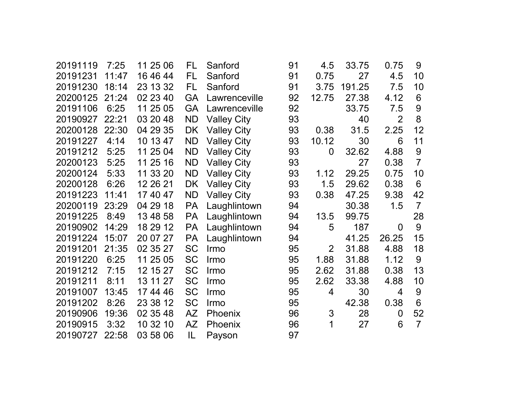| 20191119 | 7:25  | 11 25 06 | FL        | Sanford            | 91 | 4.5            | 33.75  | 0.75           | 9              |
|----------|-------|----------|-----------|--------------------|----|----------------|--------|----------------|----------------|
| 20191231 | 11:47 | 16 46 44 | FL        | Sanford            | 91 | 0.75           | 27     | 4.5            | 10             |
| 20191230 | 18:14 | 23 13 32 | FL        | Sanford            | 91 | 3.75           | 191.25 | 7.5            | 10             |
| 20200125 | 21:24 | 02 23 40 | GA        | Lawrenceville      | 92 | 12.75          | 27.38  | 4.12           | 6              |
| 20191106 | 6:25  | 11 25 05 | <b>GA</b> | Lawrenceville      | 92 |                | 33.75  | 7.5            | 9              |
| 20190927 | 22:21 | 03 20 48 | <b>ND</b> | <b>Valley City</b> | 93 |                | 40     | $\overline{2}$ | 8              |
| 20200128 | 22:30 | 04 29 35 | <b>DK</b> | <b>Valley City</b> | 93 | 0.38           | 31.5   | 2.25           | 12             |
| 20191227 | 4:14  | 10 13 47 | <b>ND</b> | <b>Valley City</b> | 93 | 10.12          | 30     | 6              | 11             |
| 20191212 | 5:25  | 11 25 04 | <b>ND</b> | <b>Valley City</b> | 93 | 0              | 32.62  | 4.88           | 9              |
| 20200123 | 5:25  | 11 25 16 | <b>ND</b> | <b>Valley City</b> | 93 |                | 27     | 0.38           | $\overline{7}$ |
| 20200124 | 5:33  | 11 33 20 | <b>ND</b> | <b>Valley City</b> | 93 | 1.12           | 29.25  | 0.75           | 10             |
| 20200128 | 6:26  | 12 26 21 | <b>DK</b> | <b>Valley City</b> | 93 | 1.5            | 29.62  | 0.38           | 6              |
| 20191223 | 11:41 | 17 40 47 | <b>ND</b> | <b>Valley City</b> | 93 | 0.38           | 47.25  | 9.38           | 42             |
| 20200119 | 23:29 | 04 29 18 | <b>PA</b> | Laughlintown       | 94 |                | 30.38  | 1.5            | $\overline{7}$ |
| 20191225 | 8:49  | 13 48 58 | <b>PA</b> | Laughlintown       | 94 | 13.5           | 99.75  |                | 28             |
| 20190902 | 14:29 | 18 29 12 | PA        | Laughlintown       | 94 | 5              | 187    | 0              | 9              |
| 20191224 | 15:07 | 20 07 27 | <b>PA</b> | Laughlintown       | 94 |                | 41.25  | 26.25          | 15             |
| 20191201 | 21:35 | 02 35 27 | <b>SC</b> | Irmo               | 95 | $\overline{2}$ | 31.88  | 4.88           | 18             |
| 20191220 | 6:25  | 11 25 05 | <b>SC</b> | Irmo               | 95 | 1.88           | 31.88  | 1.12           | 9              |
| 20191212 | 7:15  | 12 15 27 | <b>SC</b> | Irmo               | 95 | 2.62           | 31.88  | 0.38           | 13             |
| 20191211 | 8:11  | 13 11 27 | <b>SC</b> | Irmo               | 95 | 2.62           | 33.38  | 4.88           | 10             |
| 20191007 | 13:45 | 17 44 46 | <b>SC</b> | Irmo               | 95 | 4              | 30     | 4              | 9              |
| 20191202 | 8:26  | 23 38 12 | <b>SC</b> | Irmo               | 95 |                | 42.38  | 0.38           | 6              |
| 20190906 | 19:36 | 02 35 48 | AZ        | Phoenix            | 96 | 3              | 28     | 0              | 52             |
| 20190915 | 3:32  | 10 32 10 | <b>AZ</b> | Phoenix            | 96 | 1              | 27     | 6              | $\overline{7}$ |
| 20190727 | 22:58 | 03 58 06 | IL        | Payson             | 97 |                |        |                |                |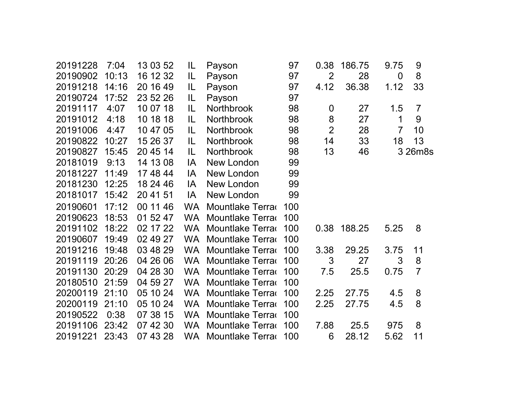| 20191228 | 7:04  | 13 03 52 | IL        | Payson                  | 97  | 0.38             | 186.75 | 9.75           | 9              |
|----------|-------|----------|-----------|-------------------------|-----|------------------|--------|----------------|----------------|
| 20190902 | 10:13 | 16 12 32 | IL        | Payson                  | 97  | $\overline{2}$   | 28     | $\mathbf 0$    | 8              |
| 20191218 | 14:16 | 20 16 49 | IL        | Payson                  | 97  | 4.12             | 36.38  | 1.12           | 33             |
| 20190724 | 17:52 | 23 52 26 | IL        | Payson                  | 97  |                  |        |                |                |
| 20191117 | 4:07  | 10 07 18 | IL        | <b>Northbrook</b>       | 98  | $\boldsymbol{0}$ | 27     | 1.5            | $\overline{7}$ |
| 20191012 | 4:18  | 10 18 18 | IL.       | Northbrook              | 98  | 8                | 27     | 1              | 9              |
| 20191006 | 4:47  | 10 47 05 | IL        | Northbrook              | 98  | $\overline{2}$   | 28     | $\overline{7}$ | 10             |
| 20190822 | 10:27 | 15 26 37 | IL        | Northbrook              | 98  | 14               | 33     | 18             | 13             |
| 20190827 | 15:45 | 20 45 14 | IL        | <b>Northbrook</b>       | 98  | 13               | 46     |                | 3 26m8s        |
| 20181019 | 9:13  | 14 13 08 | IA        | New London              | 99  |                  |        |                |                |
| 20181227 | 11:49 | 17 48 44 | IA        | New London              | 99  |                  |        |                |                |
| 20181230 | 12:25 | 18 24 46 | IA        | New London              | 99  |                  |        |                |                |
| 20181017 | 15:42 | 20 41 51 | IA        | New London              | 99  |                  |        |                |                |
| 20190601 | 17:12 | 00 11 46 | <b>WA</b> | Mountlake Terra         | 100 |                  |        |                |                |
| 20190623 | 18:53 | 01 52 47 | <b>WA</b> | Mountlake Terra         | 100 |                  |        |                |                |
| 20191102 | 18:22 | 02 17 22 | <b>WA</b> | Mountlake Terra         | 100 | 0.38             | 188.25 | 5.25           | 8              |
| 20190607 | 19:49 | 02 49 27 | <b>WA</b> | Mountlake Terra         | 100 |                  |        |                |                |
| 20191216 | 19:48 | 03 48 29 | <b>WA</b> | Mountlake Terra         | 100 | 3.38             | 29.25  | 3.75           | 11             |
| 20191119 | 20:26 | 04 26 06 | <b>WA</b> | Mountlake Terra         | 100 | 3                | 27     | 3              | 8              |
| 20191130 | 20:29 | 04 28 30 | <b>WA</b> | Mountlake Terra         | 100 | 7.5              | 25.5   | 0.75           | $\overline{7}$ |
| 20180510 | 21:59 | 04 59 27 | <b>WA</b> | Mountlake Terra         | 100 |                  |        |                |                |
| 20200119 | 21:10 | 05 10 24 | <b>WA</b> | <b>Mountlake Terrad</b> | 100 | 2.25             | 27.75  | 4.5            | 8              |
| 20200119 | 21:10 | 05 10 24 | <b>WA</b> | Mountlake Terra         | 100 | 2.25             | 27.75  | 4.5            | 8              |
| 20190522 | 0:38  | 07 38 15 | <b>WA</b> | Mountlake Terra         | 100 |                  |        |                |                |
| 20191106 | 23:42 | 07 42 30 | <b>WA</b> | Mountlake Terra         | 100 | 7.88             | 25.5   | 975            | 8              |
| 20191221 | 23:43 | 07 43 28 | WA.       | Mountlake Terra         | 100 | 6                | 28.12  | 5.62           | 11             |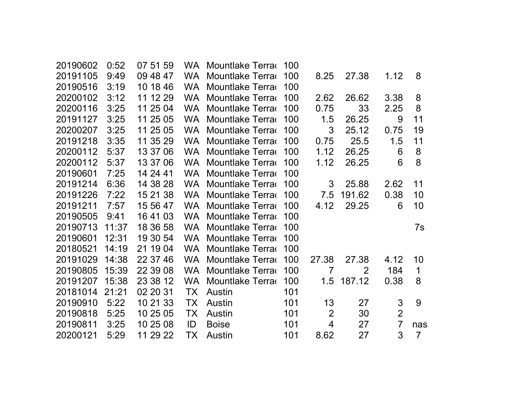| 20190602 | 0:52  | 07 51 59 |           | WA Mountlake Terra | 100 |                |                |                |                |
|----------|-------|----------|-----------|--------------------|-----|----------------|----------------|----------------|----------------|
| 20191105 | 9:49  | 09 48 47 | <b>WA</b> | Mountlake Terra    | 100 | 8.25           | 27.38          | 1.12           | 8              |
| 20190516 | 3:19  | 10 18 46 | <b>WA</b> | Mountlake Terra    | 100 |                |                |                |                |
| 20200102 | 3:12  | 11 12 29 | <b>WA</b> | Mountlake Terra    | 100 | 2.62           | 26.62          | 3.38           | 8              |
| 20200116 | 3:25  | 11 25 04 | <b>WA</b> | Mountlake Terra    | 100 | 0.75           | 33             | 2.25           | 8              |
| 20191127 | 3:25  | 11 25 05 | <b>WA</b> | Mountlake Terra    | 100 | 1.5            | 26.25          | 9              | 11             |
| 20200207 | 3:25  | 11 25 05 | WA.       | Mountlake Terra    | 100 | 3              | 25.12          | 0.75           | 19             |
| 20191218 | 3:35  | 11 35 29 | <b>WA</b> | Mountlake Terra    | 100 | 0.75           | 25.5           | 1.5            | 11             |
| 20200112 | 5:37  | 13 37 06 | <b>WA</b> | Mountlake Terra    | 100 | 1.12           | 26.25          | 6              | 8              |
| 20200112 | 5:37  | 13 37 06 | <b>WA</b> | Mountlake Terra    | 100 | 1.12           | 26.25          | 6              | 8              |
| 20190601 | 7:25  | 14 24 41 | <b>WA</b> | Mountlake Terra    | 100 |                |                |                |                |
| 20191214 | 6:36  | 14 38 28 | <b>WA</b> | Mountlake Terra    | 100 | 3              | 25.88          | 2.62           | 11             |
| 20191226 | 7:22  | 15 21 38 | <b>WA</b> | Mountlake Terra    | 100 | 7.5            | 191.62         | 0.38           | 10             |
| 20191211 | 7:57  | 15 56 47 | WA.       | Mountlake Terra    | 100 | 4.12           | 29.25          | 6              | 10             |
| 20190505 | 9:41  | 16 41 03 | <b>WA</b> | Mountlake Terra    | 100 |                |                |                |                |
| 20190713 | 11:37 | 18 36 58 | <b>WA</b> | Mountlake Terra    | 100 |                |                |                | 7s             |
| 20190601 | 12:31 | 19 30 54 | WA.       | Mountlake Terra    | 100 |                |                |                |                |
| 20180521 | 14:19 | 21 19 04 | <b>WA</b> | Mountlake Terra    | 100 |                |                |                |                |
| 20191029 | 14:38 | 22 37 46 | <b>WA</b> | Mountlake Terra    | 100 | 27.38          | 27.38          | 4.12           | 10             |
| 20190805 | 15:39 | 22 39 08 | <b>WA</b> | Mountlake Terra    | 100 | $\overline{7}$ | $\overline{2}$ | 184            | 1              |
| 20191207 | 15:38 | 23 38 12 | <b>WA</b> | Mountlake Terra    | 100 | 1.5            | 187.12         | 0.38           | 8              |
| 20181014 | 21:21 | 02 20 31 | TX        | Austin             | 101 |                |                |                |                |
| 20190910 | 5:22  | 10 21 33 | <b>TX</b> | Austin             | 101 | 13             | 27             | 3              | 9              |
| 20190818 | 5:25  | 10 25 05 | TX        | Austin             | 101 | $\overline{2}$ | 30             | $\overline{2}$ |                |
| 20190811 | 3:25  | 10 25 08 | ID        | <b>Boise</b>       | 101 | 4              | 27             | $\overline{7}$ | nas            |
| 20200121 | 5:29  | 11 29 22 | ТX        | Austin             | 101 | 8.62           | 27             | 3              | $\overline{7}$ |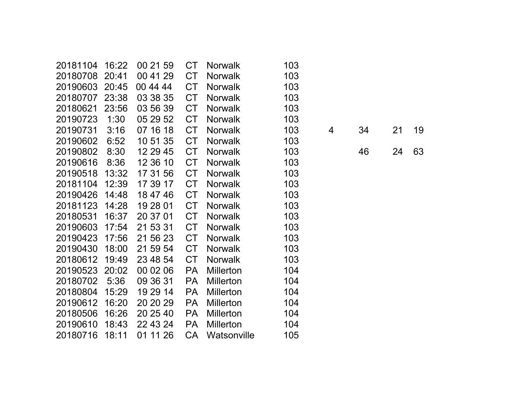| 20181104 | 16:22 | 00 21 59 | CT        | <b>Norwalk</b>   | 103 |   |    |    |    |
|----------|-------|----------|-----------|------------------|-----|---|----|----|----|
| 20180708 | 20:41 | 00 41 29 | <b>CT</b> | <b>Norwalk</b>   | 103 |   |    |    |    |
| 20190603 | 20:45 | 00 44 44 | <b>CT</b> | <b>Norwalk</b>   | 103 |   |    |    |    |
| 20180707 | 23:38 | 03 38 35 | <b>CT</b> | <b>Norwalk</b>   | 103 |   |    |    |    |
| 20180621 | 23:56 | 03 56 39 | <b>CT</b> | <b>Norwalk</b>   | 103 |   |    |    |    |
| 20190723 | 1:30  | 05 29 52 | <b>CT</b> | <b>Norwalk</b>   | 103 |   |    |    |    |
| 20190731 | 3:16  | 07 16 18 | <b>CT</b> | <b>Norwalk</b>   | 103 | 4 | 34 | 21 | 19 |
| 20190602 | 6:52  | 10 51 35 | <b>CT</b> | <b>Norwalk</b>   | 103 |   |    |    |    |
| 20190802 | 8:30  | 12 29 45 | <b>CT</b> | <b>Norwalk</b>   | 103 |   | 46 | 24 | 63 |
| 20190616 | 8:36  | 12 36 10 | <b>CT</b> | <b>Norwalk</b>   | 103 |   |    |    |    |
| 20190518 | 13:32 | 17 31 56 | <b>CT</b> | <b>Norwalk</b>   | 103 |   |    |    |    |
| 20181104 | 12:39 | 17 39 17 | <b>CT</b> | <b>Norwalk</b>   | 103 |   |    |    |    |
| 20190426 | 14:48 | 18 47 46 | <b>CT</b> | <b>Norwalk</b>   | 103 |   |    |    |    |
| 20181123 | 14:28 | 19 28 01 | <b>CT</b> | <b>Norwalk</b>   | 103 |   |    |    |    |
| 20180531 | 16:37 | 20 37 01 | <b>CT</b> | <b>Norwalk</b>   | 103 |   |    |    |    |
| 20190603 | 17:54 | 21 53 31 | <b>CT</b> | <b>Norwalk</b>   | 103 |   |    |    |    |
| 20190423 | 17:56 | 21 56 23 | <b>CT</b> | <b>Norwalk</b>   | 103 |   |    |    |    |
| 20190430 | 18:00 | 21 59 54 | <b>CT</b> | <b>Norwalk</b>   | 103 |   |    |    |    |
| 20180612 | 19:49 | 23 48 54 | <b>CT</b> | <b>Norwalk</b>   | 103 |   |    |    |    |
| 20190523 | 20:02 | 00 02 06 | <b>PA</b> | <b>Millerton</b> | 104 |   |    |    |    |
| 20180702 | 5:36  | 09 36 31 | <b>PA</b> | <b>Millerton</b> | 104 |   |    |    |    |
| 20180804 | 15:29 | 19 29 14 | <b>PA</b> | <b>Millerton</b> | 104 |   |    |    |    |
| 20190612 | 16:20 | 20 20 29 | <b>PA</b> | <b>Millerton</b> | 104 |   |    |    |    |
| 20180506 | 16:26 | 20 25 40 | <b>PA</b> | <b>Millerton</b> | 104 |   |    |    |    |
| 20190610 | 18:43 | 22 43 24 | <b>PA</b> | <b>Millerton</b> | 104 |   |    |    |    |
| 20180716 | 18:11 | 01 11 26 | CA        | Watsonville      | 105 |   |    |    |    |
|          |       |          |           |                  |     |   |    |    |    |

| 34 | 21 19 |  |
|----|-------|--|
|    |       |  |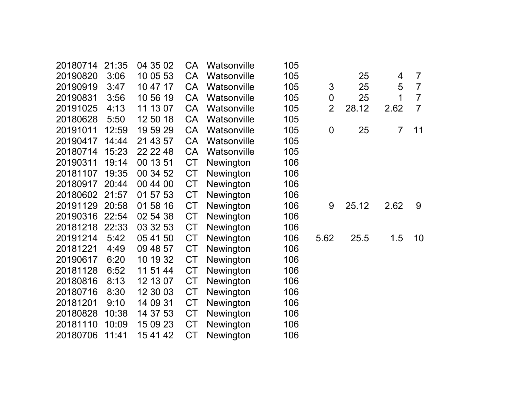| 20180714 | 21:35 | 04 35 02 | CA        | Watsonville | 105 |                |       |                |                |
|----------|-------|----------|-----------|-------------|-----|----------------|-------|----------------|----------------|
| 20190820 | 3:06  | 10 05 53 | CA        | Watsonville | 105 |                | 25    | 4              | 7              |
| 20190919 | 3:47  | 10 47 17 | CA        | Watsonville | 105 | 3              | 25    | 5              | $\overline{7}$ |
| 20190831 | 3:56  | 10 56 19 | CA        | Watsonville | 105 | 0              | 25    | 1              | $\overline{7}$ |
| 20191025 | 4:13  | 11 13 07 | CA        | Watsonville | 105 | $\overline{2}$ | 28.12 | 2.62           | $\overline{7}$ |
| 20180628 | 5:50  | 12 50 18 | CA        | Watsonville | 105 |                |       |                |                |
| 20191011 | 12:59 | 19 59 29 | CA        | Watsonville | 105 | 0              | 25    | $\overline{7}$ | 11             |
| 20190417 | 14:44 | 21 43 57 | <b>CA</b> | Watsonville | 105 |                |       |                |                |
| 20180714 | 15:23 | 22 22 48 | CA        | Watsonville | 105 |                |       |                |                |
| 20190311 | 19:14 | 00 13 51 | CT        | Newington   | 106 |                |       |                |                |
| 20181107 | 19:35 | 00 34 52 | <b>CT</b> | Newington   | 106 |                |       |                |                |
| 20180917 | 20:44 | 00 44 00 | <b>CT</b> | Newington   | 106 |                |       |                |                |
| 20180602 | 21:57 | 01 57 53 | <b>CT</b> | Newington   | 106 |                |       |                |                |
| 20191129 | 20:58 | 01 58 16 | CT        | Newington   | 106 | 9              | 25.12 | 2.62           | 9              |
| 20190316 | 22:54 | 02 54 38 | <b>CT</b> | Newington   | 106 |                |       |                |                |
| 20181218 | 22:33 | 03 32 53 | <b>CT</b> | Newington   | 106 |                |       |                |                |
| 20191214 | 5:42  | 05 41 50 | <b>CT</b> | Newington   | 106 | 5.62           | 25.5  | 1.5            | 10             |
| 20181221 | 4:49  | 09 48 57 | <b>CT</b> | Newington   | 106 |                |       |                |                |
| 20190617 | 6:20  | 10 19 32 | CT        | Newington   | 106 |                |       |                |                |
| 20181128 | 6:52  | 11 51 44 | <b>CT</b> | Newington   | 106 |                |       |                |                |
| 20180816 | 8:13  | 12 13 07 | <b>CT</b> | Newington   | 106 |                |       |                |                |
| 20180716 | 8:30  | 12 30 03 | <b>CT</b> | Newington   | 106 |                |       |                |                |
| 20181201 | 9:10  | 14 09 31 | <b>CT</b> | Newington   | 106 |                |       |                |                |
| 20180828 | 10:38 | 14 37 53 | <b>CT</b> | Newington   | 106 |                |       |                |                |
| 20181110 | 10:09 | 15 09 23 | <b>CT</b> | Newington   | 106 |                |       |                |                |
| 20180706 | 11:41 | 15 41 42 | <b>CT</b> | Newington   | 106 |                |       |                |                |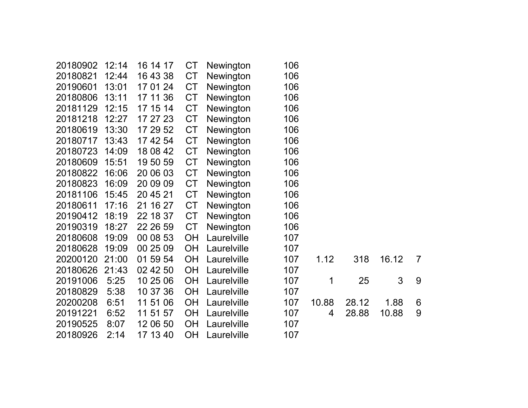| 20180902 | 12:14 | 16 14 17 | CT        | Newington        | 106 |       |       |       |                |
|----------|-------|----------|-----------|------------------|-----|-------|-------|-------|----------------|
| 20180821 | 12:44 | 16 43 38 | <b>CT</b> | Newington        | 106 |       |       |       |                |
| 20190601 | 13:01 | 17 01 24 | <b>CT</b> | Newington        | 106 |       |       |       |                |
| 20180806 | 13:11 | 17 11 36 | CT        | Newington        | 106 |       |       |       |                |
| 20181129 | 12:15 | 17 15 14 | <b>CT</b> | Newington        | 106 |       |       |       |                |
| 20181218 | 12:27 | 17 27 23 | <b>CT</b> | Newington        | 106 |       |       |       |                |
| 20180619 | 13:30 | 17 29 52 | <b>CT</b> | Newington        | 106 |       |       |       |                |
| 20180717 | 13:43 | 17 42 54 | <b>CT</b> | Newington        | 106 |       |       |       |                |
| 20180723 | 14:09 | 18 08 42 | <b>CT</b> | Newington        | 106 |       |       |       |                |
| 20180609 | 15:51 | 19 50 59 | <b>CT</b> | Newington        | 106 |       |       |       |                |
| 20180822 | 16:06 | 20 06 03 | <b>CT</b> | Newington        | 106 |       |       |       |                |
| 20180823 | 16:09 | 20 09 09 | <b>CT</b> | Newington        | 106 |       |       |       |                |
| 20181106 | 15:45 | 20 45 21 | <b>CT</b> | Newington        | 106 |       |       |       |                |
| 20180611 | 17:16 | 21 16 27 | <b>CT</b> | <b>Newington</b> | 106 |       |       |       |                |
| 20190412 | 18:19 | 22 18 37 | <b>CT</b> | Newington        | 106 |       |       |       |                |
| 20190319 | 18:27 | 22 26 59 | <b>CT</b> | Newington        | 106 |       |       |       |                |
| 20180608 | 19:09 | 00 08 53 | <b>OH</b> | Laurelville      | 107 |       |       |       |                |
| 20180628 | 19:09 | 00 25 09 | <b>OH</b> | Laurelville      | 107 |       |       |       |                |
| 20200120 | 21:00 | 01 59 54 | <b>OH</b> | Laurelville      | 107 | 1.12  | 318   | 16.12 | $\overline{7}$ |
| 20180626 | 21:43 | 02 42 50 | <b>OH</b> | Laurelville      | 107 |       |       |       |                |
| 20191006 | 5:25  | 10 25 06 | <b>OH</b> | Laurelville      | 107 | 1     | 25    | 3     | 9              |
| 20180829 | 5:38  | 10 37 36 | <b>OH</b> | Laurelville      | 107 |       |       |       |                |
| 20200208 | 6:51  | 11 51 06 | <b>OH</b> | Laurelville      | 107 | 10.88 | 28.12 | 1.88  | 6              |
| 20191221 | 6:52  | 11 51 57 | <b>OH</b> | Laurelville      | 107 | 4     | 28.88 | 10.88 | 9              |
| 20190525 | 8:07  | 12 06 50 | <b>OH</b> | Laurelville      | 107 |       |       |       |                |
| 20180926 | 2:14  | 17 13 40 | <b>OH</b> | Laurelville      | 107 |       |       |       |                |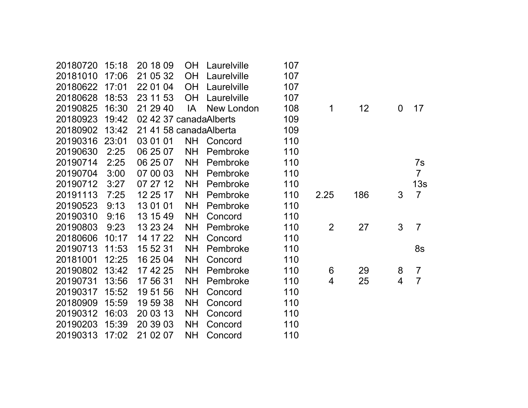|       |                                  | <b>OH</b>                                    | Laurelville                         |                                                                                               |                          |     |                |                 |
|-------|----------------------------------|----------------------------------------------|-------------------------------------|-----------------------------------------------------------------------------------------------|--------------------------|-----|----------------|-----------------|
| 16:30 | 21 29 40                         | IA                                           | New London                          | 108                                                                                           | 1                        | 12  | $\Omega$       | 17              |
| 19:42 |                                  |                                              |                                     | 109                                                                                           |                          |     |                |                 |
| 13:42 |                                  |                                              |                                     | 109                                                                                           |                          |     |                |                 |
| 23:01 | 03 01 01                         | <b>NH</b>                                    | Concord                             | 110                                                                                           |                          |     |                |                 |
| 2:25  | 06 25 07                         | <b>NH</b>                                    | Pembroke                            | 110                                                                                           |                          |     |                |                 |
| 2:25  | 06 25 07                         | <b>NH</b>                                    | Pembroke                            | 110                                                                                           |                          |     |                | 7s              |
| 3:00  | 07 00 03                         | <b>NH</b>                                    | Pembroke                            | 110                                                                                           |                          |     |                | $\overline{7}$  |
| 3:27  | 07 27 12                         | <b>NH</b>                                    | Pembroke                            | 110                                                                                           |                          |     |                | 13 <sub>s</sub> |
| 7:25  | 12 25 17                         | <b>NH</b>                                    | Pembroke                            | 110                                                                                           | 2.25                     | 186 | 3              | $\overline{7}$  |
| 9:13  | 13 01 01                         | <b>NH</b>                                    | Pembroke                            | 110                                                                                           |                          |     |                |                 |
| 9:16  | 13 15 49                         | <b>NH</b>                                    | Concord                             | 110                                                                                           |                          |     |                |                 |
| 9:23  | 13 23 24                         | <b>NH</b>                                    | Pembroke                            | 110                                                                                           | $\overline{2}$           | 27  | 3              | $\overline{7}$  |
| 10:17 | 14 17 22                         | <b>NH</b>                                    | Concord                             | 110                                                                                           |                          |     |                |                 |
| 11:53 | 15 52 31                         | <b>NH</b>                                    | Pembroke                            | 110                                                                                           |                          |     |                | 8s              |
| 12:25 | 16 25 04                         | <b>NH</b>                                    | Concord                             | 110                                                                                           |                          |     |                |                 |
| 13:42 | 17 42 25                         | <b>NH</b>                                    | Pembroke                            | 110                                                                                           | 6                        | 29  | 8              | $\overline{7}$  |
| 13:56 | 17 56 31                         | <b>NH</b>                                    | Pembroke                            | 110                                                                                           | 4                        | 25  | $\overline{4}$ | $\overline{7}$  |
| 15:52 | 19 51 56                         | <b>NH</b>                                    | Concord                             | 110                                                                                           |                          |     |                |                 |
| 15:59 | 19 59 38                         | <b>NH</b>                                    | Concord                             | 110                                                                                           |                          |     |                |                 |
| 16:03 | 20 03 13                         | <b>NH</b>                                    | Concord                             | 110                                                                                           |                          |     |                |                 |
| 15:39 | 20 39 03                         | <b>NH</b>                                    | Concord                             | 110                                                                                           |                          |     |                |                 |
| 17:02 | 21 02 07                         | <b>NH</b>                                    | Concord                             | 110                                                                                           |                          |     |                |                 |
|       | 15:18<br>17:06<br>17:01<br>18:53 | 20 18 09<br>21 05 32<br>22 01 04<br>23 11 53 | <b>OH</b><br><b>OH</b><br><b>OH</b> | Laurelville<br>Laurelville<br>Laurelville<br>02 42 37 canadaAlberts<br>21 41 58 canadaAlberta | 107<br>107<br>107<br>107 |     |                |                 |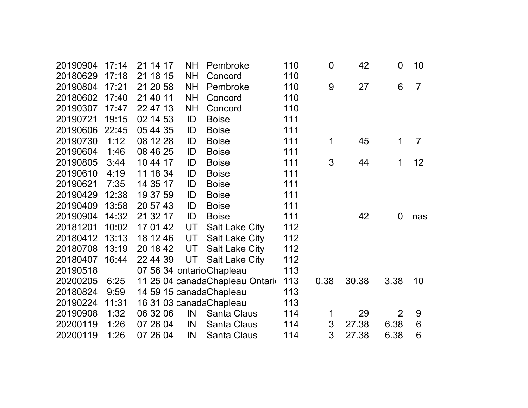| 17:14 | 21 14 17 | <b>NH</b> | Pembroke              | 110                                                                                                                | $\mathbf 0$    | 42    | $\overline{0}$ | 10             |
|-------|----------|-----------|-----------------------|--------------------------------------------------------------------------------------------------------------------|----------------|-------|----------------|----------------|
| 17:18 |          |           | Concord               |                                                                                                                    |                |       |                |                |
| 17:21 | 21 20 58 | <b>NH</b> | Pembroke              | 110                                                                                                                | 9              | 27    | 6              | $\overline{7}$ |
| 17:40 | 21 40 11 | <b>NH</b> | Concord               | 110                                                                                                                |                |       |                |                |
| 17:47 | 22 47 13 | <b>NH</b> | Concord               | 110                                                                                                                |                |       |                |                |
| 19:15 | 02 14 53 | ID        | <b>Boise</b>          | 111                                                                                                                |                |       |                |                |
| 22:45 | 05 44 35 | ID        | <b>Boise</b>          | 111                                                                                                                |                |       |                |                |
| 1:12  | 08 12 28 | ID        | <b>Boise</b>          | 111                                                                                                                | 1              | 45    | 1              | $\overline{7}$ |
| 1:46  | 08 46 25 | ID        | <b>Boise</b>          | 111                                                                                                                |                |       |                |                |
| 3:44  | 10 44 17 | ID        | <b>Boise</b>          | 111                                                                                                                | 3              | 44    | 1              | 12             |
| 4:19  | 11 18 34 | ID        | <b>Boise</b>          | 111                                                                                                                |                |       |                |                |
| 7:35  | 14 35 17 | ID        | <b>Boise</b>          | 111                                                                                                                |                |       |                |                |
| 12:38 | 19 37 59 | ID        | <b>Boise</b>          | 111                                                                                                                |                |       |                |                |
| 13:58 | 20 57 43 | ID        | <b>Boise</b>          | 111                                                                                                                |                |       |                |                |
| 14:32 | 21 32 17 | ID        | <b>Boise</b>          | 111                                                                                                                |                | 42    | $\overline{0}$ | nas            |
| 10:02 | 17 01 42 | UT        | <b>Salt Lake City</b> | 112                                                                                                                |                |       |                |                |
| 13:13 | 18 12 46 | UT        | <b>Salt Lake City</b> | 112                                                                                                                |                |       |                |                |
| 13:19 | 20 18 42 | UT        | <b>Salt Lake City</b> | 112                                                                                                                |                |       |                |                |
| 16:44 | 22 44 39 | UT        | <b>Salt Lake City</b> | 112                                                                                                                |                |       |                |                |
|       |          |           |                       | 113                                                                                                                |                |       |                |                |
| 6:25  |          |           |                       | 113                                                                                                                | 0.38           | 30.38 | 3.38           | 10             |
| 9:59  |          |           |                       | 113                                                                                                                |                |       |                |                |
| 11:31 |          |           |                       | 113                                                                                                                |                |       |                |                |
| 1:32  | 06 32 06 | IN        | <b>Santa Claus</b>    | 114                                                                                                                | 1              | 29    | $\overline{2}$ | 9              |
| 1:26  | 07 26 04 | IN        | <b>Santa Claus</b>    | 114                                                                                                                | $\mathfrak{S}$ | 27.38 | 6.38           | 6              |
| 1:26  | 07 26 04 | IN        | Santa Claus           | 114                                                                                                                | 3              | 27.38 | 6.38           | 6              |
|       |          | 21 18 15  | <b>NH</b>             | 07 56 34 ontario Chapleau<br>11 25 04 canadaChapleau Ontario<br>14 59 15 canadaChapleau<br>16 31 03 canadaChapleau | 110            |       |                |                |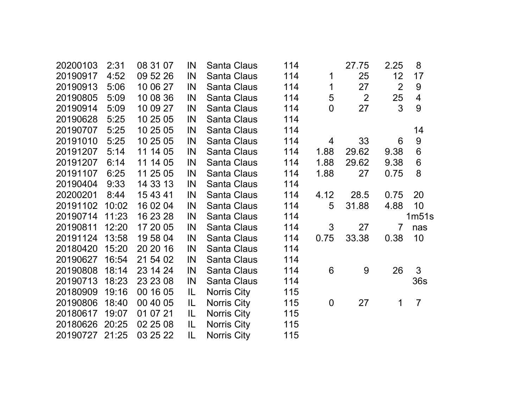| 20200103       | 2:31  | 08 31 07 | IN  | Santa Claus        | 114 |                | 27.75 | 2.25           | 8                |  |
|----------------|-------|----------|-----|--------------------|-----|----------------|-------|----------------|------------------|--|
| 20190917       | 4:52  | 09 52 26 | IN  | <b>Santa Claus</b> | 114 | 1              | 25    | 12             | 17               |  |
| 20190913       | 5:06  | 10 06 27 | IN  | <b>Santa Claus</b> | 114 | 1              | 27    | 2              | $9\,$            |  |
| 20190805       | 5:09  | 10 08 36 | IN  | Santa Claus        | 114 | 5              | 2     | 25             | $\overline{4}$   |  |
| 20190914       | 5:09  | 10 09 27 | IN  | <b>Santa Claus</b> | 114 | $\overline{0}$ | 27    | 3              | 9                |  |
| 20190628       | 5:25  | 10 25 05 | IN  | <b>Santa Claus</b> | 114 |                |       |                |                  |  |
| 20190707       | 5:25  | 10 25 05 | IN  | Santa Claus        | 114 |                |       |                | 14               |  |
| 20191010       | 5:25  | 10 25 05 | IN  | Santa Claus        | 114 | 4              | 33    | 6              | $\boldsymbol{9}$ |  |
| 20191207       | 5:14  | 11 14 05 | IN  | Santa Claus        | 114 | 1.88           | 29.62 | 9.38           | 6                |  |
| 20191207       | 6:14  | 11 14 05 | IN  | Santa Claus        | 114 | 1.88           | 29.62 | 9.38           | $6\phantom{1}6$  |  |
| 20191107       | 6:25  | 11 25 05 | IN  | <b>Santa Claus</b> | 114 | 1.88           | 27    | 0.75           | 8                |  |
| 20190404       | 9:33  | 14 33 13 | IN  | <b>Santa Claus</b> | 114 |                |       |                |                  |  |
| 20200201       | 8:44  | 15 43 41 | IN  | Santa Claus        | 114 | 4.12           | 28.5  | 0.75           | 20               |  |
| 20191102       | 10:02 | 16 02 04 | IN  | Santa Claus        | 114 | 5              | 31.88 | 4.88           | 10               |  |
| 20190714       | 11:23 | 16 23 28 | IN  | Santa Claus        | 114 |                |       |                | 1m51s            |  |
| 20190811       | 12:20 | 17 20 05 | IN  | <b>Santa Claus</b> | 114 | 3              | 27    | $\overline{7}$ | nas              |  |
| 20191124       | 13:58 | 19 58 04 | IN  | Santa Claus        | 114 | 0.75           | 33.38 | 0.38           | 10               |  |
| 20180420       | 15:20 | 20 20 16 | IN  | Santa Claus        | 114 |                |       |                |                  |  |
| 20190627       | 16:54 | 21 54 02 | IN  | Santa Claus        | 114 |                |       |                |                  |  |
| 20190808       | 18:14 | 23 14 24 | IN  | Santa Claus        | 114 | 6              | 9     | 26             | 3                |  |
| 20190713       | 18:23 | 23 23 08 | IN  | <b>Santa Claus</b> | 114 |                |       |                | 36s              |  |
| 20180909       | 19:16 | 00 16 05 | IL  | Norris City        | 115 |                |       |                |                  |  |
| 20190806       | 18:40 | 00 40 05 | IL  | Norris City        | 115 | $\mathbf 0$    | 27    | 1              | $\overline{7}$   |  |
| 20180617       | 19:07 | 01 07 21 | L   | Norris City        | 115 |                |       |                |                  |  |
| 20180626       | 20:25 | 02 25 08 | IL. | Norris City        | 115 |                |       |                |                  |  |
| 20190727 21:25 |       | 03 25 22 | IL  | Norris City        | 115 |                |       |                |                  |  |
|                |       |          |     |                    |     |                |       |                |                  |  |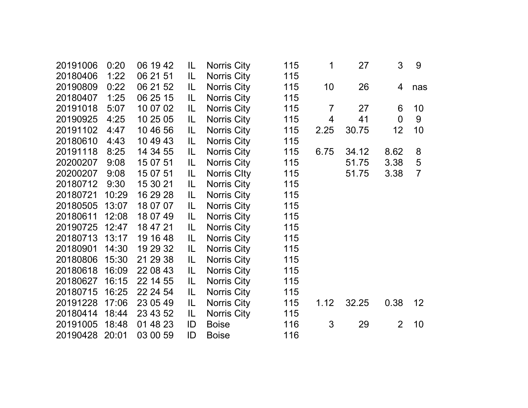| 20191006 | 0:20  | 06 19 42 | IL  | Norris City        | 115 | 1              | 27    | 3              | 9               |
|----------|-------|----------|-----|--------------------|-----|----------------|-------|----------------|-----------------|
| 20180406 | 1:22  | 06 21 51 | IL. | Norris City        | 115 |                |       |                |                 |
| 20190809 | 0:22  | 06 21 52 | IL. | Norris City        | 115 | 10             | 26    | 4              | nas             |
| 20180407 | 1:25  | 06 25 15 | IL. | Norris City        | 115 |                |       |                |                 |
| 20191018 | 5:07  | 10 07 02 | IL. | <b>Norris City</b> | 115 | $\overline{7}$ | 27    | 6              | 10              |
| 20190925 | 4:25  | 10 25 05 | IL. | <b>Norris City</b> | 115 | 4              | 41    | $\overline{0}$ | 9               |
| 20191102 | 4:47  | 10 46 56 | IL. | Norris City        | 115 | 2.25           | 30.75 | 12             | 10              |
| 20180610 | 4:43  | 10 49 43 | IL. | Norris City        | 115 |                |       |                |                 |
| 20191118 | 8:25  | 14 34 55 | IL. | <b>Norris City</b> | 115 | 6.75           | 34.12 | 8.62           | 8               |
| 20200207 | 9:08  | 15 07 51 | IL. | Norris City        | 115 |                | 51.75 | 3.38           | 5               |
| 20200207 | 9:08  | 15 07 51 | IL. | Norris City        | 115 |                | 51.75 | 3.38           | $\overline{7}$  |
| 20180712 | 9:30  | 15 30 21 | IL  | Norris City        | 115 |                |       |                |                 |
| 20180721 | 10:29 | 16 29 28 | IL. | <b>Norris City</b> | 115 |                |       |                |                 |
| 20180505 | 13:07 | 18 07 07 | IL. | <b>Norris City</b> | 115 |                |       |                |                 |
| 20180611 | 12:08 | 18 07 49 | IL. | Norris City        | 115 |                |       |                |                 |
| 20190725 | 12:47 | 18 47 21 | IL  | Norris City        | 115 |                |       |                |                 |
| 20180713 | 13:17 | 19 16 48 | IL. | Norris City        | 115 |                |       |                |                 |
| 20180901 | 14:30 | 19 29 32 | IL. | <b>Norris City</b> | 115 |                |       |                |                 |
| 20180806 | 15:30 | 21 29 38 | IL. | <b>Norris City</b> | 115 |                |       |                |                 |
| 20180618 | 16:09 | 22 08 43 | IL. | <b>Norris City</b> | 115 |                |       |                |                 |
| 20180627 | 16:15 | 22 14 55 | IL. | <b>Norris City</b> | 115 |                |       |                |                 |
| 20180715 | 16:25 | 22 24 54 | IL. | <b>Norris City</b> | 115 |                |       |                |                 |
| 20191228 | 17:06 | 23 05 49 | IL. | Norris City        | 115 | 1.12           | 32.25 | 0.38           | 12 <sup>2</sup> |
| 20180414 | 18:44 | 23 43 52 | IL. | <b>Norris City</b> | 115 |                |       |                |                 |
| 20191005 | 18:48 | 01 48 23 | ID  | <b>Boise</b>       | 116 | 3              | 29    | $\overline{2}$ | 10              |
| 20190428 | 20:01 | 03 00 59 | ID  | <b>Boise</b>       | 116 |                |       |                |                 |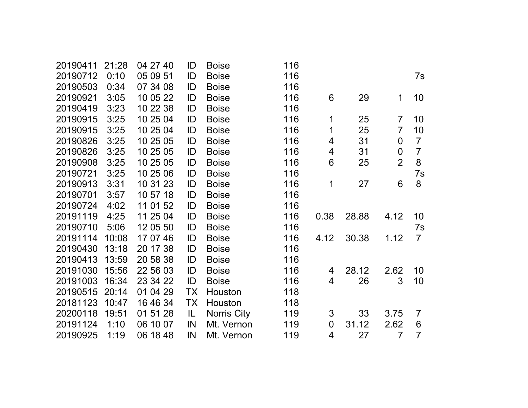| 20190411 | 21:28 | 04 27 40 | ID  | <b>Boise</b> | 116 |                |       |                  |                |
|----------|-------|----------|-----|--------------|-----|----------------|-------|------------------|----------------|
| 20190712 | 0:10  | 05 09 51 | ID  | <b>Boise</b> | 116 |                |       |                  | 7s             |
| 20190503 | 0:34  | 07 34 08 | ID  | <b>Boise</b> | 116 |                |       |                  |                |
| 20190921 | 3:05  | 10 05 22 | ID  | <b>Boise</b> | 116 | 6              | 29    | 1                | 10             |
| 20190419 | 3:23  | 10 22 38 | ID  | <b>Boise</b> | 116 |                |       |                  |                |
| 20190915 | 3:25  | 10 25 04 | ID  | <b>Boise</b> | 116 | 1              | 25    | $\overline{7}$   | 10             |
| 20190915 | 3:25  | 10 25 04 | ID  | <b>Boise</b> | 116 | 1              | 25    | $\overline{7}$   | 10             |
| 20190826 | 3:25  | 10 25 05 | ID  | <b>Boise</b> | 116 | 4              | 31    | $\overline{0}$   | $\overline{7}$ |
| 20190826 | 3:25  | 10 25 05 | ID  | <b>Boise</b> | 116 | 4              | 31    | $\boldsymbol{0}$ | $\overline{7}$ |
| 20190908 | 3:25  | 10 25 05 | ID  | <b>Boise</b> | 116 | 6              | 25    | $\overline{2}$   | 8              |
| 20190721 | 3:25  | 10 25 06 | ID  | <b>Boise</b> | 116 |                |       |                  | 7s             |
| 20190913 | 3:31  | 10 31 23 | ID  | <b>Boise</b> | 116 | 1              | 27    | 6                | 8              |
| 20190701 | 3:57  | 10 57 18 | ID  | <b>Boise</b> | 116 |                |       |                  |                |
| 20190724 | 4:02  | 11 01 52 | ID  | <b>Boise</b> | 116 |                |       |                  |                |
| 20191119 | 4:25  | 11 25 04 | ID  | <b>Boise</b> | 116 | 0.38           | 28.88 | 4.12             | 10             |
| 20190710 | 5:06  | 12 05 50 | ID  | <b>Boise</b> | 116 |                |       |                  | 7s             |
| 20191114 | 10:08 | 17 07 46 | ID  | <b>Boise</b> | 116 | 4.12           | 30.38 | 1.12             | $\overline{7}$ |
| 20190430 | 13:18 | 20 17 38 | ID  | <b>Boise</b> | 116 |                |       |                  |                |
| 20190413 | 13:59 | 20 58 38 | ID  | <b>Boise</b> | 116 |                |       |                  |                |
| 20191030 | 15:56 | 22 56 03 | ID  | <b>Boise</b> | 116 | 4              | 28.12 | 2.62             | 10             |
| 20191003 | 16:34 | 23 34 22 | ID  | <b>Boise</b> | 116 | 4              | 26    | 3                | 10             |
| 20190515 | 20:14 | 01 04 29 | TX  | Houston      | 118 |                |       |                  |                |
| 20181123 | 10:47 | 16 46 34 | TX  | Houston      | 118 |                |       |                  |                |
| 20200118 | 19:51 | 01 51 28 | IL. | Norris City  | 119 | 3              | 33    | 3.75             | $\overline{7}$ |
| 20191124 | 1:10  | 06 10 07 | IN  | Mt. Vernon   | 119 | $\overline{0}$ | 31.12 | 2.62             | 6              |
| 20190925 | 1:19  | 06 18 48 | IN  | Mt. Vernon   | 119 | 4              | 27    | 7                | $\overline{7}$ |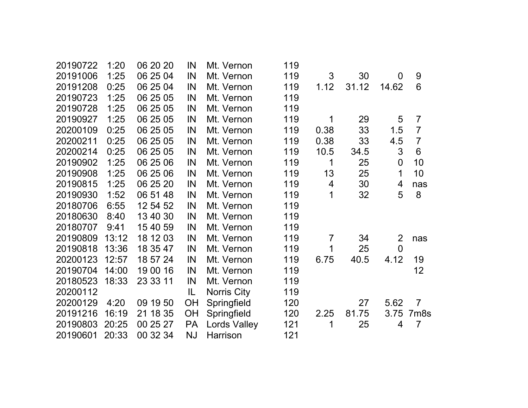| 20190722 | 1:20  | 06 20 20 | IN        | Mt. Vernon          | 119 |                |       |                |                  |
|----------|-------|----------|-----------|---------------------|-----|----------------|-------|----------------|------------------|
| 20191006 | 1:25  | 06 25 04 | IN        | Mt. Vernon          | 119 | 3              | 30    | $\overline{0}$ | 9                |
| 20191208 | 0:25  | 06 25 04 | IN        | Mt. Vernon          | 119 | 1.12           | 31.12 | 14.62          | 6                |
| 20190723 | 1:25  | 06 25 05 | IN        | Mt. Vernon          | 119 |                |       |                |                  |
| 20190728 | 1:25  | 06 25 05 | IN        | Mt. Vernon          | 119 |                |       |                |                  |
| 20190927 | 1:25  | 06 25 05 | IN        | Mt. Vernon          | 119 | 1              | 29    | 5              | $\overline{7}$   |
| 20200109 | 0:25  | 06 25 05 | IN        | Mt. Vernon          | 119 | 0.38           | 33    | 1.5            | $\overline{7}$   |
| 20200211 | 0:25  | 06 25 05 | IN        | Mt. Vernon          | 119 | 0.38           | 33    | 4.5            | $\overline{7}$   |
| 20200214 | 0:25  | 06 25 05 | IN        | Mt. Vernon          | 119 | 10.5           | 34.5  | 3              | $6\phantom{1}6$  |
| 20190902 | 1:25  | 06 25 06 | IN        | Mt. Vernon          | 119 | 1              | 25    | $\mathbf 0$    | 10               |
| 20190908 | 1:25  | 06 25 06 | IN        | Mt. Vernon          | 119 | 13             | 25    | 1              | 10               |
| 20190815 | 1:25  | 06 25 20 | IN        | Mt. Vernon          | 119 | 4              | 30    | 4              | nas              |
| 20190930 | 1:52  | 06 51 48 | IN        | Mt. Vernon          | 119 | 1              | 32    | 5              | 8                |
| 20180706 | 6:55  | 12 54 52 | IN        | Mt. Vernon          | 119 |                |       |                |                  |
| 20180630 | 8:40  | 13 40 30 | IN        | Mt. Vernon          | 119 |                |       |                |                  |
| 20180707 | 9:41  | 15 40 59 | IN        | Mt. Vernon          | 119 |                |       |                |                  |
| 20190809 | 13:12 | 18 12 03 | IN        | Mt. Vernon          | 119 | $\overline{7}$ | 34    | $\overline{2}$ | nas              |
| 20190818 | 13:36 | 18 35 47 | IN        | Mt. Vernon          | 119 | 1              | 25    | $\overline{0}$ |                  |
| 20200123 | 12:57 | 18 57 24 | IN        | Mt. Vernon          | 119 | 6.75           | 40.5  | 4.12           | 19               |
| 20190704 | 14:00 | 19 00 16 | IN        | Mt. Vernon          | 119 |                |       |                | 12               |
| 20180523 | 18:33 | 23 33 11 | IN        | Mt. Vernon          | 119 |                |       |                |                  |
| 20200112 |       |          | IL        | <b>Norris City</b>  | 119 |                |       |                |                  |
| 20200129 | 4:20  | 09 19 50 | OH        | Springfield         | 120 |                | 27    | 5.62           | $\overline{7}$   |
| 20191216 | 16:19 | 21 18 35 | OH        | Springfield         | 120 | 2.25           | 81.75 | 3.75           | 7m <sub>8s</sub> |
| 20190803 | 20:25 | 00 25 27 | <b>PA</b> | <b>Lords Valley</b> | 121 | 1              | 25    | 4              | $\overline{7}$   |
| 20190601 | 20:33 | 00 32 34 | <b>NJ</b> | Harrison            | 121 |                |       |                |                  |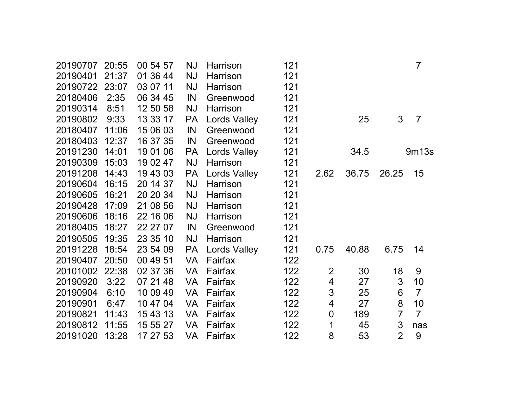| 20190707 | 20:55 | 00 54 57 | NJ        | Harrison            | 121 |                          |       |                | $\overline{7}$ |
|----------|-------|----------|-----------|---------------------|-----|--------------------------|-------|----------------|----------------|
| 20190401 | 21:37 | 01 36 44 | <b>NJ</b> | Harrison            | 121 |                          |       |                |                |
| 20190722 | 23:07 | 03 07 11 | <b>NJ</b> | Harrison            | 121 |                          |       |                |                |
| 20180406 | 2:35  | 06 34 45 | IN        | Greenwood           | 121 |                          |       |                |                |
| 20190314 | 8:51  | 12 50 58 | <b>NJ</b> | Harrison            | 121 |                          |       |                |                |
| 20190802 | 9:33  | 13 33 17 | PA        | <b>Lords Valley</b> | 121 |                          | 25    | 3              | $\overline{7}$ |
| 20180407 | 11:06 | 15 06 03 | IN        | Greenwood           | 121 |                          |       |                |                |
| 20180403 | 12:37 | 16 37 35 | IN        | Greenwood           | 121 |                          |       |                |                |
| 20191230 | 14:01 | 19 01 06 | <b>PA</b> | <b>Lords Valley</b> | 121 |                          | 34.5  |                | 9m13s          |
| 20190309 | 15:03 | 19 02 47 | NJ        | Harrison            | 121 |                          |       |                |                |
| 20191208 | 14:43 | 19 43 03 | <b>PA</b> | <b>Lords Valley</b> | 121 | 2.62                     | 36.75 | 26.25          | 15             |
| 20190604 | 16:15 | 20 14 37 | <b>NJ</b> | Harrison            | 121 |                          |       |                |                |
| 20190605 | 16:21 | 20 20 34 | <b>NJ</b> | Harrison            | 121 |                          |       |                |                |
| 20190428 | 17:09 | 21 08 56 | <b>NJ</b> | Harrison            | 121 |                          |       |                |                |
| 20190606 | 18:16 | 22 16 06 | <b>NJ</b> | Harrison            | 121 |                          |       |                |                |
| 20180405 | 18:27 | 22 27 07 | IN        | Greenwood           | 121 |                          |       |                |                |
| 20190505 | 19:35 | 23 35 10 | NJ        | Harrison            | 121 |                          |       |                |                |
| 20191228 | 18:54 | 23 54 09 | <b>PA</b> | <b>Lords Valley</b> | 121 | 0.75                     | 40.88 | 6.75           | 14             |
| 20190407 | 20:50 | 00 49 51 | <b>VA</b> | Fairfax             | 122 |                          |       |                |                |
| 20101002 | 22:38 | 02 37 36 | VA        | Fairfax             | 122 | $\overline{2}$           | 30    | 18             | 9              |
| 20190920 | 3:22  | 07 21 48 | <b>VA</b> | Fairfax             | 122 | $\overline{\mathcal{A}}$ | 27    | 3              | 10             |
| 20190904 | 6:10  | 10 09 49 | <b>VA</b> | Fairfax             | 122 | $\mathfrak{S}$           | 25    | 6              | $\overline{7}$ |
| 20190901 | 6:47  | 10 47 04 | <b>VA</b> | Fairfax             | 122 | 4                        | 27    | 8              | 10             |
| 20190821 | 11:43 | 15 43 13 | <b>VA</b> | Fairfax             | 122 | $\boldsymbol{0}$         | 189   | $\overline{7}$ | $\overline{7}$ |
| 20190812 | 11:55 | 15 55 27 | VA        | Fairfax             | 122 | 1                        | 45    | 3              | nas            |
| 20191020 | 13:28 | 17 27 53 | VA        | Fairfax             | 122 | 8                        | 53    | $\overline{2}$ | 9              |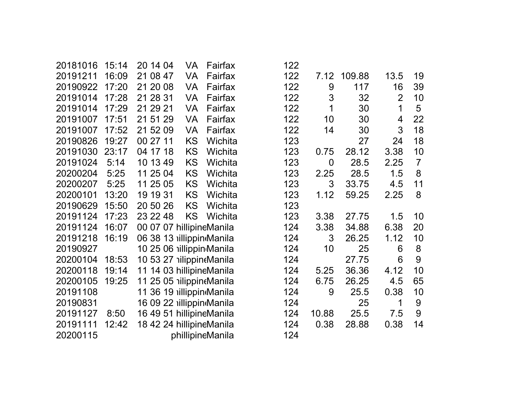| 20181016 | 15:14 | 20 14 04                  | VA        | Fairfax          | 122 |                |        |                |                |
|----------|-------|---------------------------|-----------|------------------|-----|----------------|--------|----------------|----------------|
| 20191211 | 16:09 | 21 08 47                  | <b>VA</b> | Fairfax          | 122 | 7.12           | 109.88 | 13.5           | 19             |
| 20190922 | 17:20 | 21 20 08                  | VA        | Fairfax          | 122 | 9              | 117    | 16             | 39             |
| 20191014 | 17:28 | 21 28 31                  | <b>VA</b> | Fairfax          | 122 | 3              | 32     | $\overline{2}$ | 10             |
| 20191014 | 17:29 | 21 29 21                  | <b>VA</b> | Fairfax          | 122 | 1              | 30     | 1              | 5              |
| 20191007 | 17:51 | 21 51 29                  | <b>VA</b> | Fairfax          | 122 | 10             | 30     | 4              | 22             |
| 20191007 | 17:52 | 21 52 09                  | <b>VA</b> | Fairfax          | 122 | 14             | 30     | 3              | 18             |
| 20190826 | 19:27 | 00 27 11                  | KS        | Wichita          | 123 |                | 27     | 24             | 18             |
| 20191030 | 23:17 | 04 17 18                  | KS        | Wichita          | 123 | 0.75           | 28.12  | 3.38           | 10             |
| 20191024 | 5:14  | 10 13 49                  | KS        | Wichita          | 123 | $\overline{0}$ | 28.5   | 2.25           | $\overline{7}$ |
| 20200204 | 5:25  | 11 25 04                  | KS        | Wichita          | 123 | 2.25           | 28.5   | 1.5            | 8              |
| 20200207 | 5:25  | 11 25 05                  | KS        | Wichita          | 123 | 3              | 33.75  | 4.5            | 11             |
| 20200101 | 13:20 | 19 19 31                  | <b>KS</b> | Wichita          | 123 | 1.12           | 59.25  | 2.25           | 8              |
| 20190629 | 15:50 | 20 50 26                  | KS        | Wichita          | 123 |                |        |                |                |
| 20191124 | 17:23 | 23 22 48                  | <b>KS</b> | Wichita          | 123 | 3.38           | 27.75  | 1.5            | 10             |
| 20191124 | 16:07 | 00 07 07 hillipineManila  |           |                  | 124 | 3.38           | 34.88  | 6.38           | 20             |
| 20191218 | 16:19 | 06 38 13 illippin Manila  |           |                  | 124 | 3              | 26.25  | 1.12           | 10             |
| 20190927 |       | 10 25 06 illippin Manila  |           |                  | 124 | 10             | 25     | 6              | 8              |
| 20200104 | 18:53 | 10 53 27 nilippin Manila  |           |                  | 124 |                | 27.75  | 6              | 9              |
| 20200118 | 19:14 | 11 14 03 hillipineManila  |           |                  | 124 | 5.25           | 36.36  | 4.12           | 10             |
| 20200105 | 19:25 | 11 25 05 nilippin Manila  |           |                  | 124 | 6.75           | 26.25  | 4.5            | 65             |
| 20191108 |       | 11 36 19 illippin Manila  |           |                  | 124 | 9              | 25.5   | 0.38           | 10             |
| 20190831 |       | 16 09 22 iillippindManila |           |                  | 124 |                | 25     | 1              | 9              |
| 20191127 | 8:50  | 16 49 51 hillipineManila  |           |                  | 124 | 10.88          | 25.5   | 7.5            | 9              |
| 20191111 | 12:42 | 18 42 24 hillipineManila  |           |                  | 124 | 0.38           | 28.88  | 0.38           | 14             |
| 20200115 |       |                           |           | phillipineManila | 124 |                |        |                |                |

| 122 |              |        |                |                |
|-----|--------------|--------|----------------|----------------|
| 122 | 7.12         | 109.88 | 13.5           | 19             |
| 122 | 9            | 117    | 16             | 39             |
| 122 | 3            | 32     | $\overline{2}$ | 10             |
| 122 | 1            | 30     | 1              | 5              |
| 122 | 10           | 30     | 4              | 22             |
| 122 | 14           | 30     | 3              | 18             |
| 123 |              | 27     | 24             | 18             |
| 123 | 0.75         | 28.12  | 3.38           | 10             |
| 123 | 0            | 28.5   | 2.25           | $\overline{7}$ |
| 123 | 2.25         | 28.5   | 1.5            | 8              |
| 123 | 3            | 33.75  | 4.5            | 11             |
| 123 | 1.12         | 59.25  | 2.25           | 8              |
| 123 |              |        |                |                |
| 123 | 3.38         | 27.75  | 1.5            | 10             |
| 124 | 3.38         | 34.88  | 6.38           | 20             |
| 124 | $\mathbf{3}$ | 26.25  | 1.12           | 10             |
| 124 | 10           | 25     | 6              | 8              |
| 124 |              | 27.75  | 6              | 9              |
| 124 | 5.25         | 36.36  | 4.12           | 10             |
| 124 | 6.75         | 26.25  | 4.5            | 65             |
| 124 | 9            | 25.5   | 0.38           | 10             |
| 124 |              | 25     | 1              | 9              |
| 124 | 10.88        | 25.5   | 7.5            | 9              |
| 124 | 0.38         | 28.88  | 0.38           | 14             |
| 124 |              |        |                |                |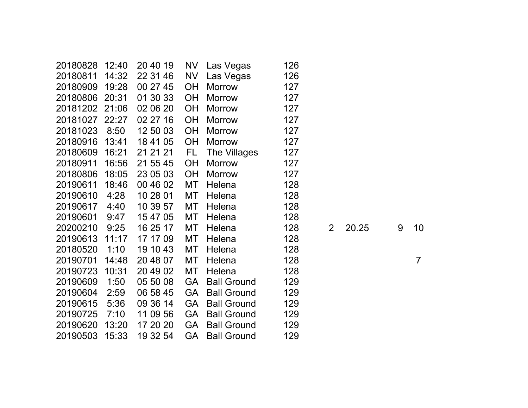| 20180828       | 12:40 | 20 40 19 | NV        | Las Vegas          | 126 |                |       |   |                |
|----------------|-------|----------|-----------|--------------------|-----|----------------|-------|---|----------------|
| 20180811       | 14:32 | 22 31 46 | <b>NV</b> | Las Vegas          | 126 |                |       |   |                |
| 20180909       | 19:28 | 00 27 45 | <b>OH</b> | <b>Morrow</b>      | 127 |                |       |   |                |
| 20180806       | 20:31 | 01 30 33 | <b>OH</b> | <b>Morrow</b>      | 127 |                |       |   |                |
| 20181202 21:06 |       | 02 06 20 | <b>OH</b> | <b>Morrow</b>      | 127 |                |       |   |                |
| 20181027       | 22:27 | 02 27 16 | <b>OH</b> | <b>Morrow</b>      | 127 |                |       |   |                |
| 20181023       | 8:50  | 12 50 03 | <b>OH</b> | <b>Morrow</b>      | 127 |                |       |   |                |
| 20180916       | 13:41 | 18 41 05 | OH        | <b>Morrow</b>      | 127 |                |       |   |                |
| 20180609       | 16:21 | 21 21 21 | FL.       | The Villages       | 127 |                |       |   |                |
| 20180911       | 16:56 | 21 55 45 | <b>OH</b> | <b>Morrow</b>      | 127 |                |       |   |                |
| 20180806       | 18:05 | 23 05 03 | <b>OH</b> | <b>Morrow</b>      | 127 |                |       |   |                |
| 20190611       | 18:46 | 00 46 02 | MT        | Helena             | 128 |                |       |   |                |
| 20190610       | 4:28  | 10 28 01 | МT        | Helena             | 128 |                |       |   |                |
| 20190617       | 4:40  | 10 39 57 | MT        | Helena             | 128 |                |       |   |                |
| 20190601       | 9:47  | 15 47 05 | MT        | Helena             | 128 |                |       |   |                |
| 20200210       | 9:25  | 16 25 17 | <b>MT</b> | Helena             | 128 | $\overline{2}$ | 20.25 | 9 | 10             |
| 20190613       | 11:17 | 17 17 09 | МT        | Helena             | 128 |                |       |   |                |
| 20180520       | 1:10  | 19 10 43 | MT        | Helena             | 128 |                |       |   |                |
| 20190701       | 14:48 | 20 48 07 | МT        | Helena             | 128 |                |       |   | $\overline{7}$ |
| 20190723       | 10:31 | 20 49 02 | МT        | Helena             | 128 |                |       |   |                |
| 20190609       | 1:50  | 05 50 08 | <b>GA</b> | <b>Ball Ground</b> | 129 |                |       |   |                |
| 20190604       | 2:59  | 06 58 45 | <b>GA</b> | <b>Ball Ground</b> | 129 |                |       |   |                |
| 20190615       | 5:36  | 09 36 14 | <b>GA</b> | <b>Ball Ground</b> | 129 |                |       |   |                |
| 20190725       | 7:10  | 11 09 56 | <b>GA</b> | <b>Ball Ground</b> | 129 |                |       |   |                |
| 20190620       | 13:20 | 17 20 20 | <b>GA</b> | <b>Ball Ground</b> | 129 |                |       |   |                |
| 20190503       | 15:33 | 19 32 54 | GA        | <b>Ball Ground</b> | 129 |                |       |   |                |
|                |       |          |           |                    |     |                |       |   |                |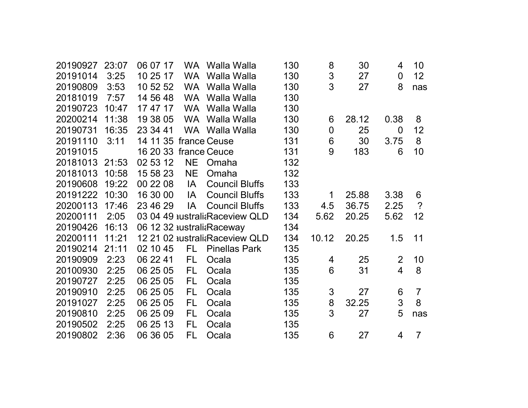| 20190927 | 23:07 | 06 07 17              |           | WA Walla Walla                 | 130 | 8              | 30    | 4              | 10             |
|----------|-------|-----------------------|-----------|--------------------------------|-----|----------------|-------|----------------|----------------|
| 20191014 | 3:25  | 10 25 17              | <b>WA</b> | Walla Walla                    | 130 | 3              | 27    | $\overline{0}$ | 12             |
| 20190809 | 3:53  | 10 52 52              |           | WA Walla Walla                 | 130 | 3              | 27    | 8              | nas            |
| 20181019 | 7:57  | 14 56 48              | <b>WA</b> | Walla Walla                    | 130 |                |       |                |                |
| 20190723 | 10:47 | 17 47 17              | <b>WA</b> | Walla Walla                    | 130 |                |       |                |                |
| 20200214 | 11:38 | 19 38 05              | <b>WA</b> | Walla Walla                    | 130 | 6              | 28.12 | 0.38           | 8              |
| 20190731 | 16:35 | 23 34 41              |           | WA Walla Walla                 | 130 | $\overline{0}$ | 25    | $\Omega$       | 12             |
| 20191110 | 3:11  | 14 11 35 france Ceuse |           |                                | 131 | 6              | 30    | 3.75           | 8              |
| 20191015 |       | 16 20 33              |           | france Ceuce                   | 131 | 9              | 183   | 6              | 10             |
| 20181013 | 21:53 | 02 53 12              | <b>NE</b> | Omaha                          | 132 |                |       |                |                |
| 20181013 | 10:58 | 15 58 23              | <b>NE</b> | Omaha                          | 132 |                |       |                |                |
| 20190608 | 19:22 | 00 22 08              | IA.       | <b>Council Bluffs</b>          | 133 |                |       |                |                |
| 20191222 | 10:30 | 16 30 00              | IA        | <b>Council Bluffs</b>          | 133 | 1              | 25.88 | 3.38           | 6              |
| 20200113 | 17:46 | 23 46 29              | IA        | <b>Council Bluffs</b>          | 133 | 4.5            | 36.75 | 2.25           | $\overline{?}$ |
| 20200111 | 2:05  |                       |           | 03 04 49 australi Raceview QLD | 134 | 5.62           | 20.25 | 5.62           | 12             |
| 20190426 | 16:13 |                       |           | 06 12 32 australi Raceway      | 134 |                |       |                |                |
| 20200111 | 11:21 |                       |           | 12 21 02 australi Raceview QLD | 134 | 10.12          | 20.25 | 1.5            | 11             |
| 20190214 | 21:11 | 02 10 45              | FL.       | <b>Pinellas Park</b>           | 135 |                |       |                |                |
| 20190909 | 2:23  | 06 22 41              | FL        | Ocala                          | 135 | 4              | 25    | $\overline{2}$ | 10             |
| 20100930 | 2:25  | 06 25 05              | FL        | Ocala                          | 135 | 6              | 31    | $\overline{4}$ | 8              |
| 20190727 | 2:25  | 06 25 05              | FL        | Ocala                          | 135 |                |       |                |                |
| 20190910 | 2:25  | 06 25 05              | FL        | Ocala                          | 135 | 3              | 27    | 6              | $\overline{7}$ |
| 20191027 | 2:25  | 06 25 05              | FL        | Ocala                          | 135 | 8              | 32.25 | 3              | 8              |
| 20190810 | 2:25  | 06 25 09              | FL        | Ocala                          | 135 | 3              | 27    | 5              | nas            |
| 20190502 | 2:25  | 06 25 13              | FL        | Ocala                          | 135 |                |       |                |                |
| 20190802 | 2:36  | 06 36 05              | FL.       | Ocala                          | 135 | 6              | 27    | 4              | $\overline{7}$ |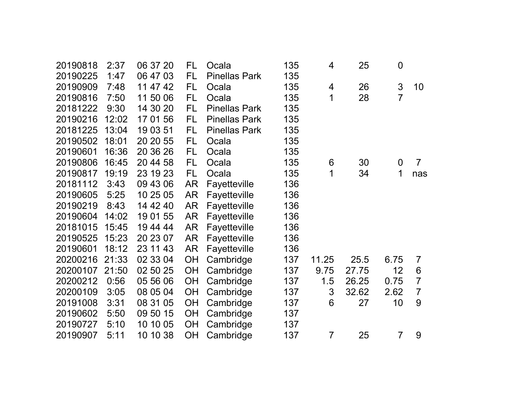| 20190818 | 2:37  | 06 37 20 | FL        | Ocala                | 135 | 4              | 25    | $\mathbf 0$    |                |
|----------|-------|----------|-----------|----------------------|-----|----------------|-------|----------------|----------------|
| 20190225 | 1:47  | 06 47 03 | <b>FL</b> | <b>Pinellas Park</b> | 135 |                |       |                |                |
| 20190909 | 7:48  | 11 47 42 | <b>FL</b> | Ocala                | 135 | 4              | 26    | 3              | 10             |
| 20190816 | 7:50  | 11 50 06 | FL        | Ocala                | 135 | 1              | 28    | 7              |                |
| 20181222 | 9:30  | 14 30 20 | FL        | <b>Pinellas Park</b> | 135 |                |       |                |                |
| 20190216 | 12:02 | 17 01 56 | <b>FL</b> | <b>Pinellas Park</b> | 135 |                |       |                |                |
| 20181225 | 13:04 | 19 03 51 | FL.       | <b>Pinellas Park</b> | 135 |                |       |                |                |
| 20190502 | 18:01 | 20 20 55 | <b>FL</b> | Ocala                | 135 |                |       |                |                |
| 20190601 | 16:36 | 20 36 26 | <b>FL</b> | Ocala                | 135 |                |       |                |                |
| 20190806 | 16:45 | 20 44 58 | FL.       | Ocala                | 135 | 6              | 30    | $\overline{0}$ | $\overline{7}$ |
| 20190817 | 19:19 | 23 19 23 | <b>FL</b> | Ocala                | 135 | 1              | 34    | 1              | nas            |
| 20181112 | 3:43  | 09 43 06 | <b>AR</b> | Fayetteville         | 136 |                |       |                |                |
| 20190605 | 5:25  | 10 25 05 | AR        | Fayetteville         | 136 |                |       |                |                |
| 20190219 | 8:43  | 14 42 40 | AR        | Fayetteville         | 136 |                |       |                |                |
| 20190604 | 14:02 | 19 01 55 | <b>AR</b> | Fayetteville         | 136 |                |       |                |                |
| 20181015 | 15:45 | 19 44 44 | <b>AR</b> | Fayetteville         | 136 |                |       |                |                |
| 20190525 | 15:23 | 20 23 07 | AR        | Fayetteville         | 136 |                |       |                |                |
| 20190601 | 18:12 | 23 11 43 | AR        | Fayetteville         | 136 |                |       |                |                |
| 20200216 | 21:33 | 02 33 04 | <b>OH</b> | Cambridge            | 137 | 11.25          | 25.5  | 6.75           | $\overline{7}$ |
| 20200107 | 21:50 | 02 50 25 | OH        | Cambridge            | 137 | 9.75           | 27.75 | 12             | 6              |
| 20200212 | 0:56  | 05 56 06 | OH        | Cambridge            | 137 | 1.5            | 26.25 | 0.75           | $\overline{7}$ |
| 20200109 | 3:05  | 08 05 04 | OH        | Cambridge            | 137 | 3              | 32.62 | 2.62           | $\overline{7}$ |
| 20191008 | 3:31  | 08 31 05 | OH        | Cambridge            | 137 | 6              | 27    | 10             | 9              |
| 20190602 | 5:50  | 09 50 15 | OH        | Cambridge            | 137 |                |       |                |                |
| 20190727 | 5:10  | 10 10 05 | OH        | Cambridge            | 137 |                |       |                |                |
| 20190907 | 5:11  | 10 10 38 | <b>OH</b> | Cambridge            | 137 | $\overline{7}$ | 25    | 7              | 9              |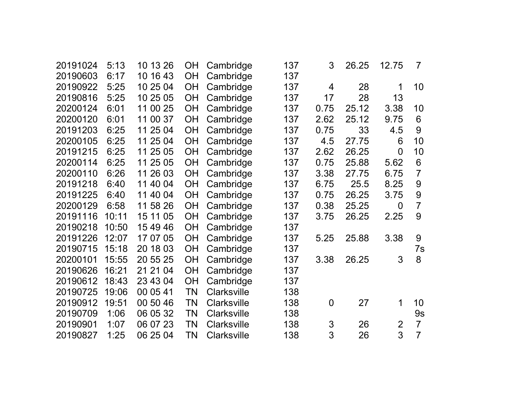| 20191024 | 5:13  | 10 13 26 | <b>OH</b> | Cambridge          | 137 | 3              | 26.25 | 12.75          | $\overline{7}$ |
|----------|-------|----------|-----------|--------------------|-----|----------------|-------|----------------|----------------|
| 20190603 | 6:17  | 10 16 43 | <b>OH</b> | Cambridge          | 137 |                |       |                |                |
| 20190922 | 5:25  | 10 25 04 | OH        | Cambridge          | 137 | 4              | 28    | 1              | 10             |
| 20190816 | 5:25  | 10 25 05 | OH        | Cambridge          | 137 | 17             | 28    | 13             |                |
| 20200124 | 6:01  | 11 00 25 | <b>OH</b> | Cambridge          | 137 | 0.75           | 25.12 | 3.38           | 10             |
| 20200120 | 6:01  | 11 00 37 | OH        | Cambridge          | 137 | 2.62           | 25.12 | 9.75           | 6              |
| 20191203 | 6:25  | 11 25 04 | <b>OH</b> | Cambridge          | 137 | 0.75           | 33    | 4.5            | 9              |
| 20200105 | 6:25  | 11 25 04 | OH        | Cambridge          | 137 | 4.5            | 27.75 | 6              | 10             |
| 20191215 | 6:25  | 11 25 05 | <b>OH</b> | Cambridge          | 137 | 2.62           | 26.25 | $\overline{0}$ | 10             |
| 20200114 | 6:25  | 11 25 05 | <b>OH</b> | Cambridge          | 137 | 0.75           | 25.88 | 5.62           | 6              |
| 20200110 | 6:26  | 11 26 03 | <b>OH</b> | Cambridge          | 137 | 3.38           | 27.75 | 6.75           | $\overline{7}$ |
| 20191218 | 6:40  | 11 40 04 | <b>OH</b> | Cambridge          | 137 | 6.75           | 25.5  | 8.25           | 9              |
| 20191225 | 6:40  | 11 40 04 | <b>OH</b> | Cambridge          | 137 | 0.75           | 26.25 | 3.75           | 9              |
| 20200129 | 6:58  | 11 58 26 | <b>OH</b> | Cambridge          | 137 | 0.38           | 25.25 | $\overline{0}$ | $\overline{7}$ |
| 20191116 | 10:11 | 15 11 05 | <b>OH</b> | Cambridge          | 137 | 3.75           | 26.25 | 2.25           | 9              |
| 20190218 | 10:50 | 15 49 46 | <b>OH</b> | Cambridge          | 137 |                |       |                |                |
| 20191226 | 12:07 | 17 07 05 | <b>OH</b> | Cambridge          | 137 | 5.25           | 25.88 | 3.38           | 9              |
| 20190715 | 15:18 | 20 18 03 | <b>OH</b> | Cambridge          | 137 |                |       |                | 7s             |
| 20200101 | 15:55 | 20 55 25 | <b>OH</b> | Cambridge          | 137 | 3.38           | 26.25 | 3              | 8              |
| 20190626 | 16:21 | 21 21 04 | <b>OH</b> | Cambridge          | 137 |                |       |                |                |
| 20190612 | 18:43 | 23 43 04 | <b>OH</b> | Cambridge          | 137 |                |       |                |                |
| 20190725 | 19:06 | 00 05 41 | ΤN        | <b>Clarksville</b> | 138 |                |       |                |                |
| 20190912 | 19:51 | 00 50 46 | ΤN        | <b>Clarksville</b> | 138 | $\overline{0}$ | 27    | 1              | 10             |
| 20190709 | 1:06  | 06 05 32 | TN        | <b>Clarksville</b> | 138 |                |       |                | 9s             |
| 20190901 | 1:07  | 06 07 23 | ΤN        | <b>Clarksville</b> | 138 | 3              | 26    | $\overline{2}$ | $\overline{7}$ |
| 20190827 | 1:25  | 06 25 04 | ΤN        | <b>Clarksville</b> | 138 | 3              | 26    | 3              | $\overline{7}$ |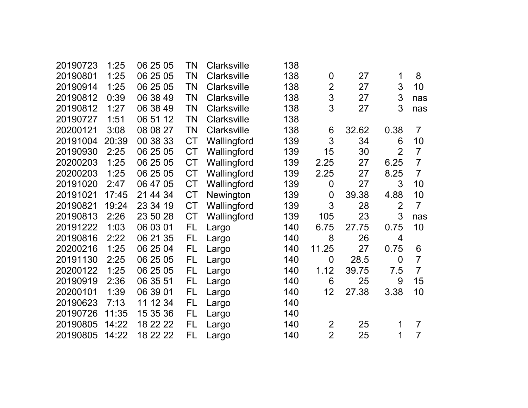|       |              |                      |                    |                                          | $\mathbf 0$    |       | 1              | 8              |
|-------|--------------|----------------------|--------------------|------------------------------------------|----------------|-------|----------------|----------------|
| 1:25  | 06 25 05     | TN                   | <b>Clarksville</b> | 138                                      | $\overline{2}$ | 27    |                | 10             |
| 0:39  | 06 38 49     | ΤN                   | <b>Clarksville</b> | 138                                      | 3              | 27    | 3              | nas            |
| 1:27  | 06 38 49     | ΤN                   | <b>Clarksville</b> | 138                                      | 3              | 27    | 3              | nas            |
| 1:51  | 06 51 12     | TN                   | <b>Clarksville</b> | 138                                      |                |       |                |                |
| 3:08  | 08 08 27     | ΤN                   | <b>Clarksville</b> | 138                                      | 6              | 32.62 | 0.38           | $\overline{7}$ |
| 20:39 | 00 38 33     | <b>CT</b>            | Wallingford        | 139                                      | 3              | 34    | 6              | 10             |
| 2:25  | 06 25 05     | <b>CT</b>            | Wallingford        | 139                                      | 15             | 30    | $\overline{2}$ | $\overline{7}$ |
| 1:25  | 06 25 05     | <b>CT</b>            | Wallingford        | 139                                      | 2.25           | 27    | 6.25           | $\overline{7}$ |
| 1:25  | 06 25 05     | <b>CT</b>            | Wallingford        | 139                                      | 2.25           | 27    | 8.25           | $\overline{7}$ |
| 2:47  | 06 47 05     | <b>CT</b>            | Wallingford        | 139                                      | $\overline{0}$ | 27    | 3              | 10             |
| 17:45 | 21 44 34     | <b>CT</b>            | Newington          | 139                                      | $\mathbf 0$    | 39.38 | 4.88           | 10             |
| 19:24 | 23 34 19     | <b>CT</b>            | Wallingford        | 139                                      | 3              | 28    | $\overline{2}$ | $\overline{7}$ |
| 2:26  | 23 50 28     | <b>CT</b>            | Wallingford        | 139                                      | 105            | 23    | 3              | nas            |
| 1:03  | 06 03 01     | FL                   | Largo              | 140                                      | 6.75           | 27.75 | 0.75           | 10             |
| 2:22  | 06 21 35     | FL                   | Largo              | 140                                      | 8              | 26    | 4              |                |
| 1:25  | 06 25 04     | FL                   | Largo              | 140                                      | 11.25          | 27    | 0.75           | 6              |
| 2:25  | 06 25 05     | FL                   | Largo              | 140                                      | $\overline{0}$ | 28.5  | $\overline{0}$ | $\overline{7}$ |
| 1:25  | 06 25 05     | FL                   | Largo              | 140                                      | 1.12           | 39.75 | 7.5            | $\overline{7}$ |
| 2:36  | 06 35 51     | FL                   | Largo              | 140                                      | 6              | 25    | 9              | 15             |
| 1:39  | 06 39 01     | FL                   | Largo              | 140                                      | 12             | 27.38 | 3.38           | 10             |
| 7:13  | 11 12 34     | FL                   | Largo              | 140                                      |                |       |                |                |
| 11:35 | 15 35 36     | FL                   | Largo              | 140                                      |                |       |                |                |
| 14:22 | 18 22 22     | FL                   | Largo              | 140                                      | 2              | 25    | 1              | $\overline{7}$ |
| 14:22 | 18 22 22     | FL                   | Largo              | 140                                      | $\overline{2}$ | 25    | 1              | $\overline{7}$ |
|       | 1:25<br>1:25 | 06 25 05<br>06 25 05 | TN<br>ΤN           | <b>Clarksville</b><br><b>Clarksville</b> | 138<br>138     |       | 27             | 3              |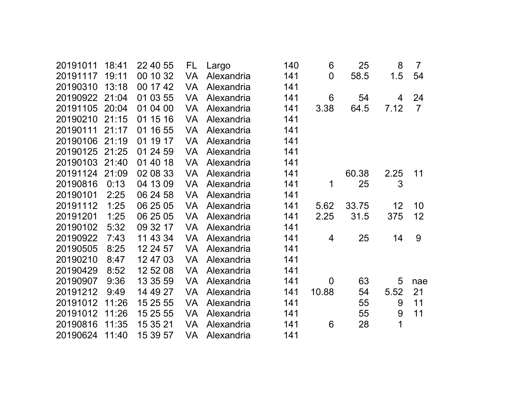| 20191011 | 18:41 | 22 40 55 | FL.       | Largo      | 140 | 6              | 25    | 8    | $\overline{7}$ |
|----------|-------|----------|-----------|------------|-----|----------------|-------|------|----------------|
| 20191117 | 19:11 | 00 10 32 | <b>VA</b> | Alexandria | 141 | $\overline{0}$ | 58.5  | 1.5  | 54             |
| 20190310 | 13:18 | 00 17 42 | <b>VA</b> | Alexandria | 141 |                |       |      |                |
| 20190922 | 21:04 | 01 03 55 | <b>VA</b> | Alexandria | 141 | 6              | 54    | 4    | 24             |
| 20191105 | 20:04 | 01 04 00 | <b>VA</b> | Alexandria | 141 | 3.38           | 64.5  | 7.12 | $\overline{7}$ |
| 20190210 | 21:15 | 01 15 16 | <b>VA</b> | Alexandria | 141 |                |       |      |                |
| 20190111 | 21:17 | 01 16 55 | <b>VA</b> | Alexandria | 141 |                |       |      |                |
| 20190106 | 21:19 | 01 19 17 | <b>VA</b> | Alexandria | 141 |                |       |      |                |
| 20190125 | 21:25 | 01 24 59 | <b>VA</b> | Alexandria | 141 |                |       |      |                |
| 20190103 | 21:40 | 01 40 18 | <b>VA</b> | Alexandria | 141 |                |       |      |                |
| 20191124 | 21:09 | 02 08 33 | <b>VA</b> | Alexandria | 141 |                | 60.38 | 2.25 | 11             |
| 20190816 | 0:13  | 04 13 09 | <b>VA</b> | Alexandria | 141 | 1              | 25    | 3    |                |
| 20190101 | 2:25  | 06 24 58 | <b>VA</b> | Alexandria | 141 |                |       |      |                |
| 20191112 | 1:25  | 06 25 05 | <b>VA</b> | Alexandria | 141 | 5.62           | 33.75 | 12   | 10             |
| 20191201 | 1:25  | 06 25 05 | <b>VA</b> | Alexandria | 141 | 2.25           | 31.5  | 375  | 12             |
| 20190102 | 5:32  | 09 32 17 | <b>VA</b> | Alexandria | 141 |                |       |      |                |
| 20190922 | 7:43  | 11 43 34 | <b>VA</b> | Alexandria | 141 | 4              | 25    | 14   | 9              |
| 20190505 | 8:25  | 12 24 57 | <b>VA</b> | Alexandria | 141 |                |       |      |                |
| 20190210 | 8:47  | 12 47 03 | <b>VA</b> | Alexandria | 141 |                |       |      |                |
| 20190429 | 8:52  | 12 52 08 | <b>VA</b> | Alexandria | 141 |                |       |      |                |
| 20190907 | 9:36  | 13 35 59 | <b>VA</b> | Alexandria | 141 | $\overline{0}$ | 63    | 5    | nae            |
| 20191212 | 9:49  | 14 49 27 | <b>VA</b> | Alexandria | 141 | 10.88          | 54    | 5.52 | 21             |
| 20191012 | 11:26 | 15 25 55 | <b>VA</b> | Alexandria | 141 |                | 55    | 9    | 11             |
| 20191012 | 11:26 | 15 25 55 | <b>VA</b> | Alexandria | 141 |                | 55    | 9    | 11             |
| 20190816 | 11:35 | 15 35 21 | <b>VA</b> | Alexandria | 141 | 6              | 28    | 1    |                |
| 20190624 | 11:40 | 15 39 57 | VA        | Alexandria | 141 |                |       |      |                |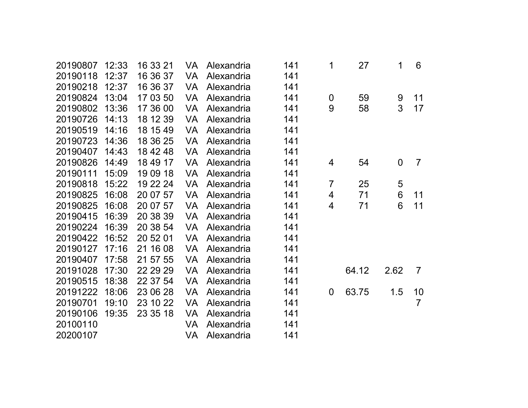| 20190807 | 12:33 | 16 33 21 | VA.       | Alexandria | 141 | 1                | 27    | 1              | 6              |
|----------|-------|----------|-----------|------------|-----|------------------|-------|----------------|----------------|
| 20190118 | 12:37 | 16 36 37 | <b>VA</b> | Alexandria | 141 |                  |       |                |                |
| 20190218 | 12:37 | 16 36 37 | <b>VA</b> | Alexandria | 141 |                  |       |                |                |
| 20190824 | 13:04 | 17 03 50 | VA        | Alexandria | 141 | $\boldsymbol{0}$ | 59    | $9\,$          | 11             |
| 20190802 | 13:36 | 17 36 00 | <b>VA</b> | Alexandria | 141 | 9                | 58    | 3              | 17             |
| 20190726 | 14:13 | 18 12 39 | VA        | Alexandria | 141 |                  |       |                |                |
| 20190519 | 14:16 | 18 15 49 | <b>VA</b> | Alexandria | 141 |                  |       |                |                |
| 20190723 | 14:36 | 18 36 25 | <b>VA</b> | Alexandria | 141 |                  |       |                |                |
| 20190407 | 14:43 | 18 42 48 | <b>VA</b> | Alexandria | 141 |                  |       |                |                |
| 20190826 | 14:49 | 18 49 17 | <b>VA</b> | Alexandria | 141 | 4                | 54    | $\overline{0}$ | $\overline{7}$ |
| 20190111 | 15:09 | 19 09 18 | VA        | Alexandria | 141 |                  |       |                |                |
| 20190818 | 15:22 | 19 22 24 | <b>VA</b> | Alexandria | 141 | $\overline{7}$   | 25    | 5              |                |
| 20190825 | 16:08 | 20 07 57 | VA        | Alexandria | 141 | 4                | 71    | $6\phantom{1}$ | 11             |
| 20190825 | 16:08 | 20 07 57 | VA        | Alexandria | 141 | 4                | 71    | 6              | 11             |
| 20190415 | 16:39 | 20 38 39 | <b>VA</b> | Alexandria | 141 |                  |       |                |                |
| 20190224 | 16:39 | 20 38 54 | <b>VA</b> | Alexandria | 141 |                  |       |                |                |
| 20190422 | 16:52 | 20 52 01 | <b>VA</b> | Alexandria | 141 |                  |       |                |                |
| 20190127 | 17:16 | 21 16 08 | <b>VA</b> | Alexandria | 141 |                  |       |                |                |
| 20190407 | 17:58 | 21 57 55 | <b>VA</b> | Alexandria | 141 |                  |       |                |                |
| 20191028 | 17:30 | 22 29 29 | VA        | Alexandria | 141 |                  | 64.12 | 2.62           | $\overline{7}$ |
| 20190515 | 18:38 | 22 37 54 | <b>VA</b> | Alexandria | 141 |                  |       |                |                |
| 20191222 | 18:06 | 23 06 28 | <b>VA</b> | Alexandria | 141 | $\overline{0}$   | 63.75 | 1.5            | 10             |
| 20190701 | 19:10 | 23 10 22 | <b>VA</b> | Alexandria | 141 |                  |       |                | $\overline{7}$ |
| 20190106 | 19:35 | 23 35 18 | VA        | Alexandria | 141 |                  |       |                |                |
| 20100110 |       |          | <b>VA</b> | Alexandria | 141 |                  |       |                |                |
| 20200107 |       |          | VA        | Alexandria | 141 |                  |       |                |                |
|          |       |          |           |            |     |                  |       |                |                |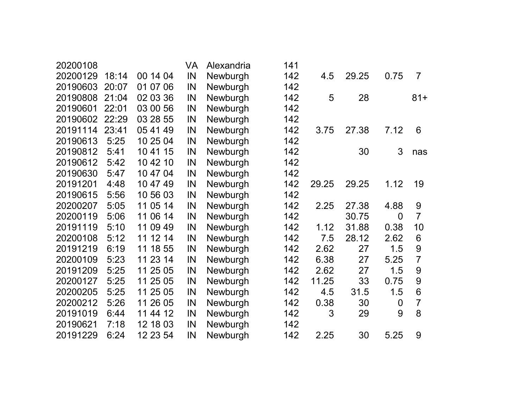| 20200108 |       |          | VA | Alexandria | 141 |       |       |                |                |
|----------|-------|----------|----|------------|-----|-------|-------|----------------|----------------|
| 20200129 | 18:14 | 00 14 04 | IN | Newburgh   | 142 | 4.5   | 29.25 | 0.75           | $\overline{7}$ |
| 20190603 | 20:07 | 01 07 06 | IN | Newburgh   | 142 |       |       |                |                |
| 20190808 | 21:04 | 02 03 36 | IN | Newburgh   | 142 | 5     | 28    |                | $81 +$         |
| 20190601 | 22:01 | 03 00 56 | IN | Newburgh   | 142 |       |       |                |                |
| 20190602 | 22:29 | 03 28 55 | IN | Newburgh   | 142 |       |       |                |                |
| 20191114 | 23:41 | 05 41 49 | IN | Newburgh   | 142 | 3.75  | 27.38 | 7.12           | 6              |
| 20190613 | 5:25  | 10 25 04 | IN | Newburgh   | 142 |       |       |                |                |
| 20190812 | 5:41  | 10 41 15 | IN | Newburgh   | 142 |       | 30    | 3              | nas            |
| 20190612 | 5:42  | 10 42 10 | IN | Newburgh   | 142 |       |       |                |                |
| 20190630 | 5:47  | 10 47 04 | IN | Newburgh   | 142 |       |       |                |                |
| 20191201 | 4:48  | 10 47 49 | IN | Newburgh   | 142 | 29.25 | 29.25 | 1.12           | 19             |
| 20190615 | 5:56  | 10 56 03 | IN | Newburgh   | 142 |       |       |                |                |
| 20200207 | 5:05  | 11 05 14 | IN | Newburgh   | 142 | 2.25  | 27.38 | 4.88           | 9              |
| 20200119 | 5:06  | 11 06 14 | IN | Newburgh   | 142 |       | 30.75 | $\Omega$       | $\overline{7}$ |
| 20191119 | 5:10  | 11 09 49 | IN | Newburgh   | 142 | 1.12  | 31.88 | 0.38           | 10             |
| 20200108 | 5:12  | 11 12 14 | IN | Newburgh   | 142 | 7.5   | 28.12 | 2.62           | 6              |
| 20191219 | 6:19  | 11 18 55 | IN | Newburgh   | 142 | 2.62  | 27    | 1.5            | 9              |
| 20200109 | 5:23  | 11 23 14 | IN | Newburgh   | 142 | 6.38  | 27    | 5.25           | $\overline{7}$ |
| 20191209 | 5:25  | 11 25 05 | IN | Newburgh   | 142 | 2.62  | 27    | 1.5            | 9              |
| 20200127 | 5:25  | 11 25 05 | IN | Newburgh   | 142 | 11.25 | 33    | 0.75           | 9              |
| 20200205 | 5:25  | 11 25 05 | IN | Newburgh   | 142 | 4.5   | 31.5  | 1.5            | 6              |
| 20200212 | 5:26  | 11 26 05 | IN | Newburgh   | 142 | 0.38  | 30    | $\overline{0}$ | $\overline{7}$ |
| 20191019 | 6:44  | 11 44 12 | IN | Newburgh   | 142 | 3     | 29    | 9              | 8              |
| 20190621 | 7:18  | 12 18 03 | IN | Newburgh   | 142 |       |       |                |                |
| 20191229 | 6:24  | 12 23 54 | IN | Newburgh   | 142 | 2.25  | 30    | 5.25           | 9              |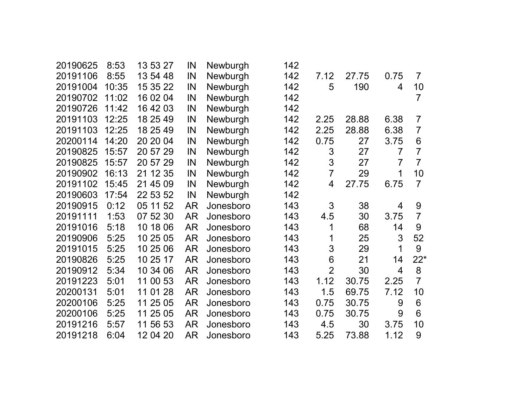| 20190625 | 8:53  | 13 53 27 | IN        | Newburgh  | 142 |                |       |                |                |
|----------|-------|----------|-----------|-----------|-----|----------------|-------|----------------|----------------|
| 20191106 | 8:55  | 13 54 48 | IN        | Newburgh  | 142 | 7.12           | 27.75 | 0.75           | $\overline{7}$ |
| 20191004 | 10:35 | 15 35 22 | IN        | Newburgh  | 142 | 5              | 190   | 4              | 10             |
| 20190702 | 11:02 | 16 02 04 | IN        | Newburgh  | 142 |                |       |                | 7              |
| 20190726 | 11:42 | 16 42 03 | IN        | Newburgh  | 142 |                |       |                |                |
| 20191103 | 12:25 | 18 25 49 | IN        | Newburgh  | 142 | 2.25           | 28.88 | 6.38           | $\overline{7}$ |
| 20191103 | 12:25 | 18 25 49 | IN        | Newburgh  | 142 | 2.25           | 28.88 | 6.38           | $\overline{7}$ |
| 20200114 | 14:20 | 20 20 04 | IN        | Newburgh  | 142 | 0.75           | 27    | 3.75           | 6              |
| 20190825 | 15:57 | 20 57 29 | IN        | Newburgh  | 142 | 3              | 27    | $\overline{7}$ | $\overline{7}$ |
| 20190825 | 15:57 | 20 57 29 | IN        | Newburgh  | 142 | 3              | 27    | $\overline{7}$ | $\overline{7}$ |
| 20190902 | 16:13 | 21 12 35 | IN        | Newburgh  | 142 | $\overline{7}$ | 29    | 1              | 10             |
| 20191102 | 15:45 | 21 45 09 | IN        | Newburgh  | 142 | $\overline{4}$ | 27.75 | 6.75           | $\overline{7}$ |
| 20190603 | 17:54 | 22 53 52 | IN        | Newburgh  | 142 |                |       |                |                |
| 20190915 | 0:12  | 05 11 52 | AR        | Jonesboro | 143 | 3              | 38    | 4              | 9              |
| 20191111 | 1:53  | 07 52 30 | <b>AR</b> | Jonesboro | 143 | 4.5            | 30    | 3.75           | $\overline{7}$ |
| 20191016 | 5:18  | 10 18 06 | <b>AR</b> | Jonesboro | 143 | 1              | 68    | 14             | 9              |
| 20190906 | 5:25  | 10 25 05 | <b>AR</b> | Jonesboro | 143 | 1              | 25    | 3              | 52             |
| 20191015 | 5:25  | 10 25 06 | AR        | Jonesboro | 143 | 3              | 29    | 1              | 9              |
| 20190826 | 5:25  | 10 25 17 | AR        | Jonesboro | 143 | 6              | 21    | 14             | $22*$          |
| 20190912 | 5:34  | 10 34 06 | <b>AR</b> | Jonesboro | 143 | $\overline{2}$ | 30    | 4              | 8              |
| 20191223 | 5:01  | 11 00 53 | <b>AR</b> | Jonesboro | 143 | 1.12           | 30.75 | 2.25           | $\overline{7}$ |
| 20200131 | 5:01  | 11 01 28 | <b>AR</b> | Jonesboro | 143 | 1.5            | 69.75 | 7.12           | 10             |
| 20200106 | 5:25  | 11 25 05 | <b>AR</b> | Jonesboro | 143 | 0.75           | 30.75 | 9              | 6              |
| 20200106 | 5:25  | 11 25 05 | <b>AR</b> | Jonesboro | 143 | 0.75           | 30.75 | 9              | 6              |
| 20191216 | 5:57  | 11 56 53 | <b>AR</b> | Jonesboro | 143 | 4.5            | 30    | 3.75           | 10             |
| 20191218 | 6:04  | 12 04 20 | AR        | Jonesboro | 143 | 5.25           | 73.88 | 1.12           | 9              |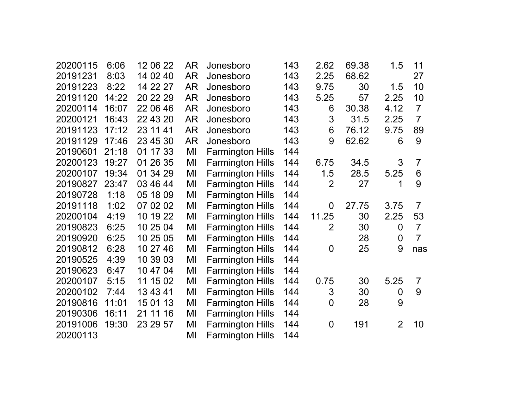| 20200115 | 6:06  | 12 06 22    | <b>AR</b> | Jonesboro               | 143 | 2.62           | 69.38 | 1.5            | 11             |
|----------|-------|-------------|-----------|-------------------------|-----|----------------|-------|----------------|----------------|
| 20191231 | 8:03  | 14 02 40    | <b>AR</b> | Jonesboro               | 143 | 2.25           | 68.62 |                | 27             |
| 20191223 | 8:22  | 14 22 27    | AR        | Jonesboro               | 143 | 9.75           | 30    | 1.5            | 10             |
| 20191120 | 14:22 | 20 22 29    | <b>AR</b> | Jonesboro               | 143 | 5.25           | 57    | 2.25           | 10             |
| 20200114 | 16:07 | 22 06 46    | <b>AR</b> | Jonesboro               | 143 | 6              | 30.38 | 4.12           | $\overline{7}$ |
| 20200121 | 16:43 | 22 43 20    | <b>AR</b> | Jonesboro               | 143 | 3              | 31.5  | 2.25           | $\overline{7}$ |
| 20191123 | 17:12 | 23 11 41    | AR        | Jonesboro               | 143 | 6              | 76.12 | 9.75           | 89             |
| 20191129 | 17:46 | 23 45 30    | <b>AR</b> | Jonesboro               | 143 | 9              | 62.62 | 6              | 9              |
| 20190601 | 21:18 | 01 17 33    | MI        | <b>Farmington Hills</b> | 144 |                |       |                |                |
| 20200123 | 19:27 | 01 26 35    | MI        | <b>Farmington Hills</b> | 144 | 6.75           | 34.5  | 3              | $\overline{7}$ |
| 20200107 | 19:34 | 01 34 29    | MI        | <b>Farmington Hills</b> | 144 | 1.5            | 28.5  | 5.25           | 6              |
| 20190827 | 23:47 | 03 46 44    | MI        | <b>Farmington Hills</b> | 144 | $\overline{2}$ | 27    | 1              | 9              |
| 20190728 | 1:18  | 05 18 09    | MI        | <b>Farmington Hills</b> | 144 |                |       |                |                |
| 20191118 | 1:02  | 07 02 02    | MI        | <b>Farmington Hills</b> | 144 | $\overline{0}$ | 27.75 | 3.75           | $\overline{7}$ |
| 20200104 | 4:19  | 10 19 22    | MI        | <b>Farmington Hills</b> | 144 | 11.25          | 30    | 2.25           | 53             |
| 20190823 | 6:25  | 10 25 04    | MI        | <b>Farmington Hills</b> | 144 | $\overline{2}$ | 30    | $\overline{0}$ | $\overline{7}$ |
| 20190920 | 6:25  | 10 25 05    | MI        | <b>Farmington Hills</b> | 144 |                | 28    | 0              | $\overline{7}$ |
| 20190812 | 6:28  | 10 27 46    | MI        | <b>Farmington Hills</b> | 144 | $\overline{0}$ | 25    | 9              | nas            |
| 20190525 | 4:39  | 10 39 03    | MI        | <b>Farmington Hills</b> | 144 |                |       |                |                |
| 20190623 | 6:47  | 10 47 04    | MI        | <b>Farmington Hills</b> | 144 |                |       |                |                |
| 20200107 | 5:15  | 11 15 02    | MI        | <b>Farmington Hills</b> | 144 | 0.75           | 30    | 5.25           | $\overline{7}$ |
| 20200102 | 7:44  | 13 43 41    | MI        | <b>Farmington Hills</b> | 144 | 3              | 30    | 0              | 9              |
| 20190816 | 11:01 | 15 01 13    | MI        | <b>Farmington Hills</b> | 144 | $\overline{0}$ | 28    | 9              |                |
| 20190306 | 16:11 | 21 11<br>16 | MI        | <b>Farmington Hills</b> | 144 |                |       |                |                |
| 20191006 | 19:30 | 23 29 57    | MI        | <b>Farmington Hills</b> | 144 | $\overline{0}$ | 191   | $\overline{2}$ | 10             |
| 20200113 |       |             | MI        | <b>Farmington Hills</b> | 144 |                |       |                |                |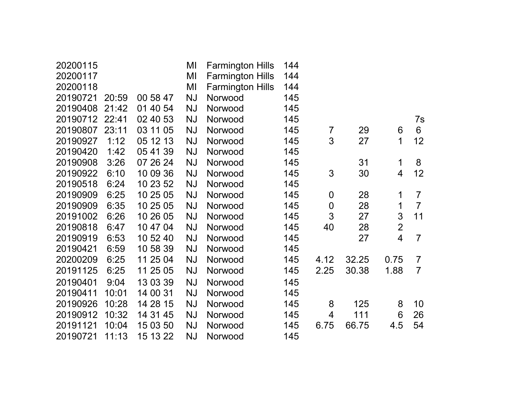| 20200115 |       |          | MI        | <b>Farmington Hills</b> | 144 |                |       |                |                |
|----------|-------|----------|-----------|-------------------------|-----|----------------|-------|----------------|----------------|
| 20200117 |       |          | MI        | <b>Farmington Hills</b> | 144 |                |       |                |                |
| 20200118 |       |          | MI        | <b>Farmington Hills</b> | 144 |                |       |                |                |
| 20190721 | 20:59 | 00 58 47 | <b>NJ</b> | Norwood                 | 145 |                |       |                |                |
| 20190408 | 21:42 | 01 40 54 | <b>NJ</b> | Norwood                 | 145 |                |       |                |                |
| 20190712 | 22:41 | 02 40 53 | <b>NJ</b> | Norwood                 | 145 |                |       |                | 7s             |
| 20190807 | 23:11 | 03 11 05 | <b>NJ</b> | Norwood                 | 145 | $\overline{7}$ | 29    | 6              | 6              |
| 20190927 | 1:12  | 05 12 13 | <b>NJ</b> | Norwood                 | 145 | 3              | 27    | 1              | 12             |
| 20190420 | 1:42  | 05 41 39 | <b>NJ</b> | Norwood                 | 145 |                |       |                |                |
| 20190908 | 3:26  | 07 26 24 | <b>NJ</b> | Norwood                 | 145 |                | 31    | 1              | 8              |
| 20190922 | 6:10  | 10 09 36 | <b>NJ</b> | Norwood                 | 145 | 3              | 30    | $\overline{4}$ | 12             |
| 20190518 | 6:24  | 10 23 52 | <b>NJ</b> | Norwood                 | 145 |                |       |                |                |
| 20190909 | 6:25  | 10 25 05 | <b>NJ</b> | Norwood                 | 145 | $\mathbf 0$    | 28    | 1              | $\overline{7}$ |
| 20190909 | 6:35  | 10 25 05 | <b>NJ</b> | Norwood                 | 145 | $\overline{0}$ | 28    | 1              | $\overline{7}$ |
| 20191002 | 6:26  | 10 26 05 | <b>NJ</b> | Norwood                 | 145 | 3              | 27    | 3              | 11             |
| 20190818 | 6:47  | 10 47 04 | <b>NJ</b> | Norwood                 | 145 | 40             | 28    | $\overline{2}$ |                |
| 20190919 | 6:53  | 10 52 40 | <b>NJ</b> | Norwood                 | 145 |                | 27    | $\overline{4}$ | $\overline{7}$ |
| 20190421 | 6:59  | 10 58 39 | <b>NJ</b> | Norwood                 | 145 |                |       |                |                |
| 20200209 | 6:25  | 11 25 04 | <b>NJ</b> | Norwood                 | 145 | 4.12           | 32.25 | 0.75           | $\overline{7}$ |
| 20191125 | 6:25  | 11 25 05 | <b>NJ</b> | Norwood                 | 145 | 2.25           | 30.38 | 1.88           | $\overline{7}$ |
| 20190401 | 9:04  | 13 03 39 | <b>NJ</b> | Norwood                 | 145 |                |       |                |                |
| 20190411 | 10:01 | 14 00 31 | <b>NJ</b> | Norwood                 | 145 |                |       |                |                |
| 20190926 | 10:28 | 14 28 15 | <b>NJ</b> | Norwood                 | 145 | 8              | 125   | 8              | 10             |
| 20190912 | 10:32 | 14 31 45 | <b>NJ</b> | Norwood                 | 145 | 4              | 111   | 6              | 26             |
| 20191121 | 10:04 | 15 03 50 | <b>NJ</b> | Norwood                 | 145 | 6.75           | 66.75 | 4.5            | 54             |
| 20190721 | 11:13 | 15 13 22 | <b>NJ</b> | Norwood                 | 145 |                |       |                |                |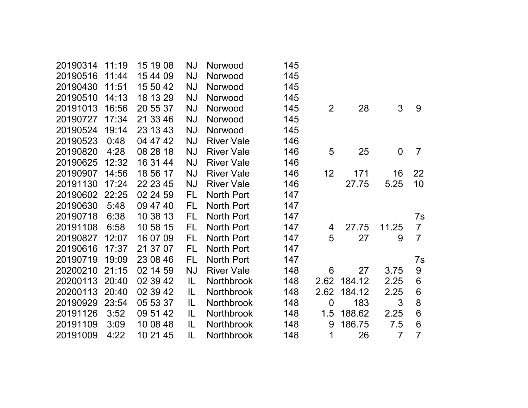| 20190314 | 11:19 | 15 19 08 | <b>NJ</b> | Norwood           | 145 |                |        |                |                |
|----------|-------|----------|-----------|-------------------|-----|----------------|--------|----------------|----------------|
| 20190516 | 11:44 | 15 44 09 | <b>NJ</b> | Norwood           | 145 |                |        |                |                |
| 20190430 | 11:51 | 15 50 42 | <b>NJ</b> | Norwood           | 145 |                |        |                |                |
| 20190510 | 14:13 | 18 13 29 | NJ        | Norwood           | 145 |                |        |                |                |
| 20191013 | 16:56 | 20 55 37 | NJ        | Norwood           | 145 | $\overline{2}$ | 28     | 3              | 9              |
| 20190727 | 17:34 | 21 33 46 | NJ        | Norwood           | 145 |                |        |                |                |
| 20190524 | 19:14 | 23 13 43 | ΝJ        | Norwood           | 145 |                |        |                |                |
| 20190523 | 0:48  | 04 47 42 | <b>NJ</b> | <b>River Vale</b> | 146 |                |        |                |                |
| 20190820 | 4:28  | 08 28 18 | <b>NJ</b> | <b>River Vale</b> | 146 | 5              | 25     | $\overline{0}$ | $\overline{7}$ |
| 20190625 | 12:32 | 16 31 44 | <b>NJ</b> | <b>River Vale</b> | 146 |                |        |                |                |
| 20190907 | 14:56 | 18 56 17 | <b>NJ</b> | <b>River Vale</b> | 146 | 12             | 171    | 16             | 22             |
| 20191130 | 17:24 | 22 23 45 | <b>NJ</b> | <b>River Vale</b> | 146 |                | 27.75  | 5.25           | 10             |
| 20190602 | 22:25 | 02 24 59 | FL        | North Port        | 147 |                |        |                |                |
| 20190630 | 5:48  | 09 47 40 | FL        | North Port        | 147 |                |        |                |                |
| 20190718 | 6:38  | 10 38 13 | <b>FL</b> | North Port        | 147 |                |        |                | 7s             |
| 20191108 | 6:58  | 10 58 15 | FL        | North Port        | 147 | 4              | 27.75  | 11.25          | $\overline{7}$ |
| 20190827 | 12:07 | 16 07 09 | FL        | North Port        | 147 | 5              | 27     | 9              | $\overline{7}$ |
| 20190616 | 17:37 | 21 37 07 | FL        | North Port        | 147 |                |        |                |                |
| 20190719 | 19:09 | 23 08 46 | FL        | North Port        | 147 |                |        |                | 7s             |
| 20200210 | 21:15 | 02 14 59 | NJ        | <b>River Vale</b> | 148 | 6              | 27     | 3.75           | 9              |
| 20200113 | 20:40 | 02 39 42 | IL.       | <b>Northbrook</b> | 148 | 2.62           | 184.12 | 2.25           | 6              |
| 20200113 | 20:40 | 02 39 42 | IL        | Northbrook        | 148 | 2.62           | 184.12 | 2.25           | 6              |
| 20190929 | 23:54 | 05 53 37 | IL        | <b>Northbrook</b> | 148 | $\overline{0}$ | 183    | 3              | 8              |
| 20191126 | 3:52  | 09 51 42 | IL        | <b>Northbrook</b> | 148 | 1.5            | 188.62 | 2.25           | 6              |
| 20191109 | 3:09  | 10 08 48 | IL.       | <b>Northbrook</b> | 148 | 9              | 186.75 | 7.5            | 6              |
| 20191009 | 4:22  | 10 21 45 | IL        | <b>Northbrook</b> | 148 | 1              | 26     | $\overline{7}$ | $\overline{7}$ |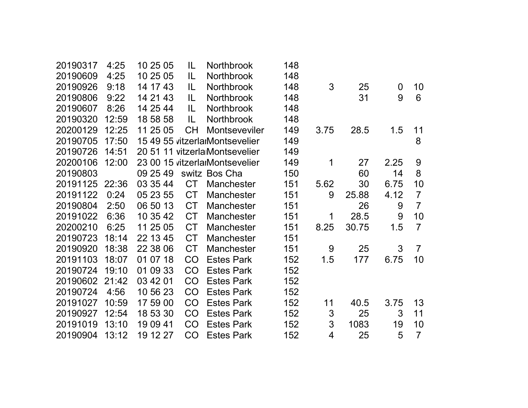| 20190317 | 4:25  | 10 25 05 | IL        | <b>Northbrook</b>              | 148 |      |       |                  |                |
|----------|-------|----------|-----------|--------------------------------|-----|------|-------|------------------|----------------|
| 20190609 | 4:25  | 10 25 05 | IL        | <b>Northbrook</b>              | 148 |      |       |                  |                |
| 20190926 | 9:18  | 14 17 43 | IL        | <b>Northbrook</b>              | 148 | 3    | 25    | $\boldsymbol{0}$ | 10             |
| 20190806 | 9:22  | 14 21 43 | IL        | <b>Northbrook</b>              | 148 |      | 31    | 9                | 6              |
| 20190607 | 8:26  | 14 25 44 | IL        | <b>Northbrook</b>              | 148 |      |       |                  |                |
| 20190320 | 12:59 | 18 58 58 | IL        | <b>Northbrook</b>              | 148 |      |       |                  |                |
| 20200129 | 12:25 | 11 25 05 | СH        | <b>Montseveviler</b>           | 149 | 3.75 | 28.5  | 1.5              | 11             |
| 20190705 | 17:50 |          |           | 15 49 55 vitzerlarMontsevelier | 149 |      |       |                  | 8              |
| 20190726 | 14:51 |          |           | 20 51 11 vitzerla Montsevelier | 149 |      |       |                  |                |
| 20200106 | 12:00 |          |           | 23 00 15 vitzerlarMontsevelier | 149 | 1    | 27    | 2.25             | 9              |
| 20190803 |       | 09 25 49 |           | switz Bos Cha                  | 150 |      | 60    | 14               | 8              |
| 20191125 | 22:36 | 03 35 44 | <b>CT</b> | Manchester                     | 151 | 5.62 | 30    | 6.75             | 10             |
| 20191122 | 0:24  | 05 23 55 | <b>CT</b> | <b>Manchester</b>              | 151 | 9    | 25.88 | 4.12             | $\overline{7}$ |
| 20190804 | 2:50  | 06 50 13 | <b>CT</b> | <b>Manchester</b>              | 151 |      | 26    | 9                | $\overline{7}$ |
| 20191022 | 6:36  | 10 35 42 | <b>CT</b> | <b>Manchester</b>              | 151 | 1    | 28.5  | 9                | 10             |
| 20200210 | 6:25  | 11 25 05 | <b>CT</b> | <b>Manchester</b>              | 151 | 8.25 | 30.75 | 1.5              | $\overline{7}$ |
| 20190723 | 18:14 | 22 13 45 | <b>CT</b> | <b>Manchester</b>              | 151 |      |       |                  |                |
| 20190920 | 18:38 | 22 38 06 | <b>CT</b> | <b>Manchester</b>              | 151 | 9    | 25    | 3                | $\overline{7}$ |
| 20191103 | 18:07 | 01 07 18 | CO        | <b>Estes Park</b>              | 152 | 1.5  | 177   | 6.75             | 10             |
| 20190724 | 19:10 | 01 09 33 | CO        | <b>Estes Park</b>              | 152 |      |       |                  |                |
| 20190602 | 21:42 | 03 42 01 | <b>CO</b> | <b>Estes Park</b>              | 152 |      |       |                  |                |
| 20190724 | 4:56  | 10 56 23 | CO        | <b>Estes Park</b>              | 152 |      |       |                  |                |
| 20191027 | 10:59 | 17 59 00 | CO        | <b>Estes Park</b>              | 152 | 11   | 40.5  | 3.75             | 13             |
| 20190927 | 12:54 | 18 53 30 | CO        | <b>Estes Park</b>              | 152 | 3    | 25    | 3                | 11             |
| 20191019 | 13:10 | 19 09 41 | CO        | <b>Estes Park</b>              | 152 | 3    | 1083  | 19               | 10             |
| 20190904 | 13:12 | 19 12 27 | CO        | <b>Estes Park</b>              | 152 | 4    | 25    | 5                | $\overline{7}$ |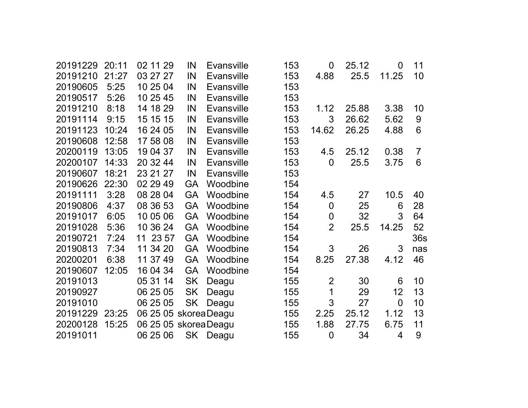| 20191229 | 20:11 | 02 11 29              | IN        | <b>Evansville</b> | 153 | $\overline{0}$ | 25.12 | 0              | 11             |
|----------|-------|-----------------------|-----------|-------------------|-----|----------------|-------|----------------|----------------|
| 20191210 | 21:27 | 03 27 27              | IN        | <b>Evansville</b> | 153 | 4.88           | 25.5  | 11.25          | 10             |
| 20190605 | 5:25  | 10 25 04              | IN        | <b>Evansville</b> | 153 |                |       |                |                |
| 20190517 | 5:26  | 10 25 45              | IN        | <b>Evansville</b> | 153 |                |       |                |                |
| 20191210 | 8:18  | 14 18 29              | IN        | <b>Evansville</b> | 153 | 1.12           | 25.88 | 3.38           | 10             |
| 20191114 | 9:15  | 15 15 15              | IN        | <b>Evansville</b> | 153 | 3              | 26.62 | 5.62           | 9              |
| 20191123 | 10:24 | 16 24 05              | IN        | <b>Evansville</b> | 153 | 14.62          | 26.25 | 4.88           | 6              |
| 20190608 | 12:58 | 17 58 08              | IN        | <b>Evansville</b> | 153 |                |       |                |                |
| 20200119 | 13:05 | 19 04 37              | IN        | <b>Evansville</b> | 153 | 4.5            | 25.12 | 0.38           | $\overline{7}$ |
| 20200107 | 14:33 | 20 32 44              | IN        | Evansville        | 153 | $\overline{0}$ | 25.5  | 3.75           | 6              |
| 20190607 | 18:21 | 23 21 27              | IN        | <b>Evansville</b> | 153 |                |       |                |                |
| 20190626 | 22:30 | 02 29 49              | <b>GA</b> | Woodbine          | 154 |                |       |                |                |
| 20191111 | 3:28  | 08 28 04              | <b>GA</b> | Woodbine          | 154 | 4.5            | 27    | 10.5           | 40             |
| 20190806 | 4:37  | 08 36 53              | <b>GA</b> | Woodbine          | 154 | $\overline{0}$ | 25    | 6              | 28             |
| 20191017 | 6:05  | 10 05 06              | <b>GA</b> | Woodbine          | 154 | $\overline{0}$ | 32    | 3              | 64             |
| 20191028 | 5:36  | 10 36 24              | <b>GA</b> | Woodbine          | 154 | $\overline{2}$ | 25.5  | 14.25          | 52             |
| 20190721 | 7:24  | 11 23 57              | <b>GA</b> | Woodbine          | 154 |                |       |                | 36s            |
| 20190813 | 7:34  | 11 34 20              | <b>GA</b> | Woodbine          | 154 | 3              | 26    | 3              | nas            |
| 20200201 | 6:38  | 11 37 49              | <b>GA</b> | Woodbine          | 154 | 8.25           | 27.38 | 4.12           | 46             |
| 20190607 | 12:05 | 16 04 34              | <b>GA</b> | Woodbine          | 154 |                |       |                |                |
| 20191013 |       | 05 31 14              | <b>SK</b> | Deagu             | 155 | $\overline{2}$ | 30    | 6              | 10             |
| 20190927 |       | 06 25 05              | <b>SK</b> | Deagu             | 155 | 1              | 29    | 12             | 13             |
| 20191010 |       | 06 25 05              | <b>SK</b> | Deagu             | 155 | 3              | 27    | $\overline{0}$ | 10             |
| 20191229 | 23:25 | 06 25 05 skorea Deagu |           |                   | 155 | 2.25           | 25.12 | 1.12           | 13             |
| 20200128 | 15:25 | 06 25 05 skorea Deagu |           |                   | 155 | 1.88           | 27.75 | 6.75           | 11             |
| 20191011 |       | 06 25 06              |           | SK Deagu          | 155 | $\overline{0}$ | 34    | 4              | 9              |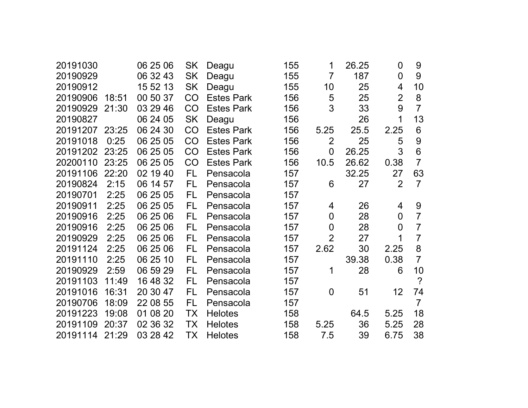| 20191030 |       | 06 25 06 | <b>SK</b> | Deagu             | 155 | 1              | 26.25 | $\mathbf 0$    | 9              |
|----------|-------|----------|-----------|-------------------|-----|----------------|-------|----------------|----------------|
| 20190929 |       | 06 32 43 | <b>SK</b> | Deagu             | 155 | $\overline{7}$ | 187   | $\overline{0}$ | 9              |
| 20190912 |       | 15 52 13 | <b>SK</b> | Deagu             | 155 | 10             | 25    | 4              | 10             |
| 20190906 | 18:51 | 00 50 37 | CO        | <b>Estes Park</b> | 156 | 5              | 25    | $\overline{2}$ | 8              |
| 20190929 | 21:30 | 03 29 46 | CO        | <b>Estes Park</b> | 156 | 3              | 33    | 9              | $\overline{7}$ |
| 20190827 |       | 06 24 05 | <b>SK</b> | Deagu             | 156 |                | 26    | 1              | 13             |
| 20191207 | 23:25 | 06 24 30 | CO        | <b>Estes Park</b> | 156 | 5.25           | 25.5  | 2.25           | 6              |
| 20191018 | 0:25  | 06 25 05 | CO        | <b>Estes Park</b> | 156 | $\overline{2}$ | 25    | 5              | 9              |
| 20191202 | 23:25 | 06 25 05 | CO        | <b>Estes Park</b> | 156 | 0              | 26.25 | 3              | 6              |
| 20200110 | 23:25 | 06 25 05 | CO        | <b>Estes Park</b> | 156 | 10.5           | 26.62 | 0.38           | $\overline{7}$ |
| 20191106 | 22:20 | 02 19 40 | <b>FL</b> | Pensacola         | 157 |                | 32.25 | 27             | 63             |
| 20190824 | 2:15  | 06 14 57 | FL        | Pensacola         | 157 | 6              | 27    | $\overline{2}$ | $\overline{7}$ |
| 20190701 | 2:25  | 06 25 05 | FL        | Pensacola         | 157 |                |       |                |                |
| 20190911 | 2:25  | 06 25 05 | FL        | Pensacola         | 157 | 4              | 26    | 4              | 9              |
| 20190916 | 2:25  | 06 25 06 | FL        | Pensacola         | 157 | 0              | 28    | 0              | $\overline{7}$ |
| 20190916 | 2:25  | 06 25 06 | FL        | Pensacola         | 157 | $\overline{0}$ | 28    | $\overline{0}$ | $\overline{7}$ |
| 20190929 | 2:25  | 06 25 06 | <b>FL</b> | Pensacola         | 157 | $\overline{2}$ | 27    | 1              | $\overline{7}$ |
| 20191124 | 2:25  | 06 25 06 | FL        | Pensacola         | 157 | 2.62           | 30    | 2.25           | 8              |
| 20191110 | 2:25  | 06 25 10 | FL        | Pensacola         | 157 |                | 39.38 | 0.38           | $\overline{7}$ |
| 20190929 | 2:59  | 06 59 29 | FL        | Pensacola         | 157 | 1              | 28    | 6              | 10             |
| 20191103 | 11:49 | 16 48 32 | <b>FL</b> | Pensacola         | 157 |                |       |                | $\overline{?}$ |
| 20191016 | 16:31 | 20 30 47 | FL        | Pensacola         | 157 | $\overline{0}$ | 51    | 12             | 74             |
| 20190706 | 18:09 | 22 08 55 | FL        | Pensacola         | 157 |                |       |                | $\overline{7}$ |
| 20191223 | 19:08 | 01 08 20 | ТX        | <b>Helotes</b>    | 158 |                | 64.5  | 5.25           | 18             |
| 20191109 | 20:37 | 02 36 32 | ТX        | <b>Helotes</b>    | 158 | 5.25           | 36    | 5.25           | 28             |
| 20191114 | 21:29 | 03 28 42 | ТX        | <b>Helotes</b>    | 158 | 7.5            | 39    | 6.75           | 38             |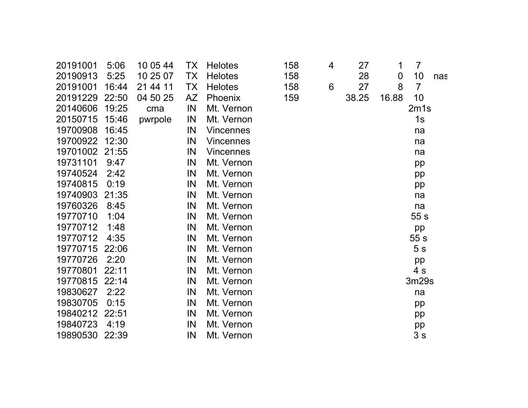| 20191001       | 5:06  | 10 05 44 | TX        | <b>Helotes</b>   | 158 | 4 | 27    | 1                | $\overline{7}$ |     |
|----------------|-------|----------|-----------|------------------|-----|---|-------|------------------|----------------|-----|
| 20190913       | 5:25  | 10 25 07 | <b>TX</b> | <b>Helotes</b>   | 158 |   | 28    | $\boldsymbol{0}$ | 10             | nas |
| 20191001       | 16:44 | 21 44 11 | TX        | <b>Helotes</b>   | 158 | 6 | 27    | 8                | $\overline{7}$ |     |
| 20191229       | 22:50 | 04 50 25 | AZ        | Phoenix          | 159 |   | 38.25 | 16.88            | 10             |     |
| 20140606       | 19:25 | cma      | IN        | Mt. Vernon       |     |   |       |                  | 2m1s           |     |
| 20150715       | 15:46 | pwrpole  | IN        | Mt. Vernon       |     |   |       |                  | 1s             |     |
| 19700908       | 16:45 |          | IN        | <b>Vincennes</b> |     |   |       |                  | na             |     |
| 19700922 12:30 |       |          | IN        | <b>Vincennes</b> |     |   |       |                  | na             |     |
| 19701002       | 21:55 |          | IN        | <b>Vincennes</b> |     |   |       |                  | na             |     |
| 19731101       | 9:47  |          | IN        | Mt. Vernon       |     |   |       |                  | pp             |     |
| 19740524       | 2:42  |          | IN        | Mt. Vernon       |     |   |       |                  | pp             |     |
| 19740815       | 0:19  |          | IN        | Mt. Vernon       |     |   |       |                  | pp             |     |
| 19740903       | 21:35 |          | IN        | Mt. Vernon       |     |   |       |                  | na             |     |
| 19760326       | 8:45  |          | IN        | Mt. Vernon       |     |   |       |                  | na             |     |
| 19770710       | 1:04  |          | IN        | Mt. Vernon       |     |   |       |                  | 55s            |     |
| 19770712       | 1:48  |          | IN        | Mt. Vernon       |     |   |       |                  | pp             |     |
| 19770712       | 4:35  |          | IN        | Mt. Vernon       |     |   |       |                  | 55 s           |     |
| 19770715       | 22:06 |          | IN        | Mt. Vernon       |     |   |       |                  | 5 <sub>s</sub> |     |
| 19770726       | 2:20  |          | IN        | Mt. Vernon       |     |   |       |                  | pp             |     |
| 19770801       | 22:11 |          | IN        | Mt. Vernon       |     |   |       |                  | 4 <sub>s</sub> |     |
| 19770815       | 22:14 |          | IN        | Mt. Vernon       |     |   |       |                  | 3m29s          |     |
| 19830627       | 2:22  |          | IN        | Mt. Vernon       |     |   |       |                  | na             |     |
| 19830705       | 0:15  |          | IN        | Mt. Vernon       |     |   |       |                  | pp             |     |
| 19840212 22:51 |       |          | IN        | Mt. Vernon       |     |   |       |                  | pp             |     |
| 19840723       | 4:19  |          | IN        | Mt. Vernon       |     |   |       |                  | pp             |     |
| 19890530       | 22:39 |          | IN        | Mt. Vernon       |     |   |       |                  | 3s             |     |